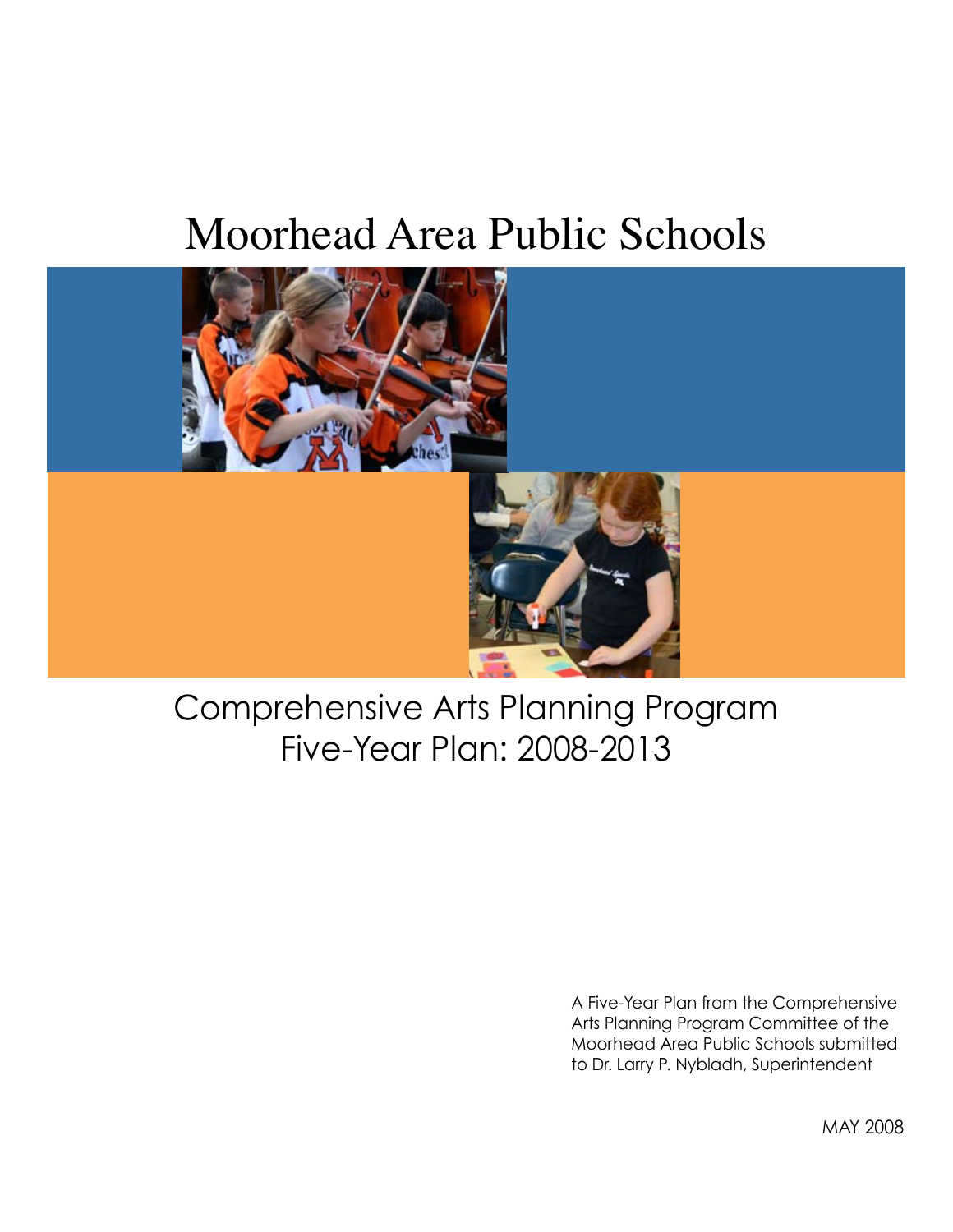# Moorhead Area Public Schools



# Comprehensive Arts Planning Program Five-Year Plan: 2008-2013

A Five-Year Plan from the Comprehensive Arts Planning Program Committee of the Moorhead Area Public Schools submitted to Dr. Larry P. Nybladh, Superintendent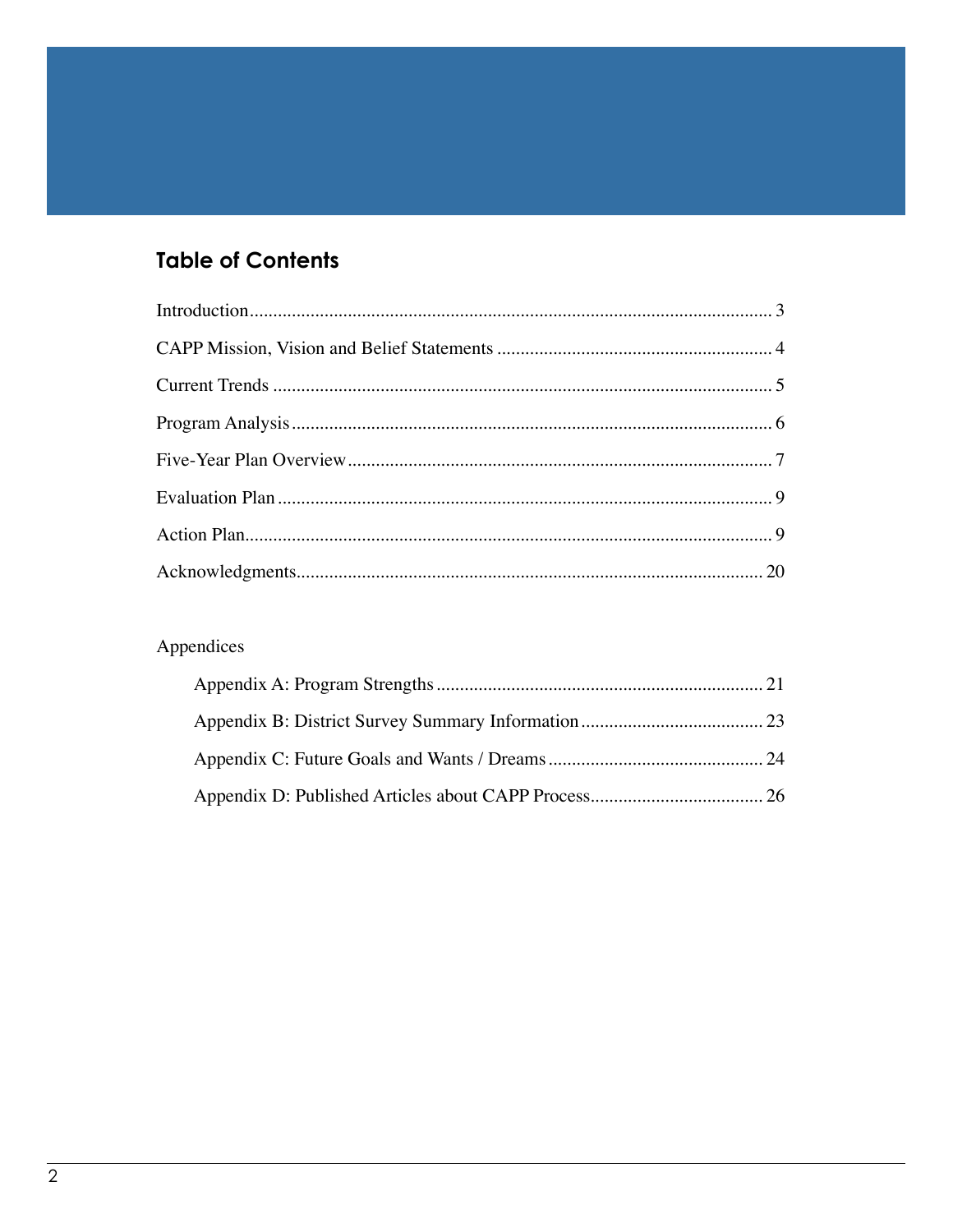## **Table of Contents**

## Appendices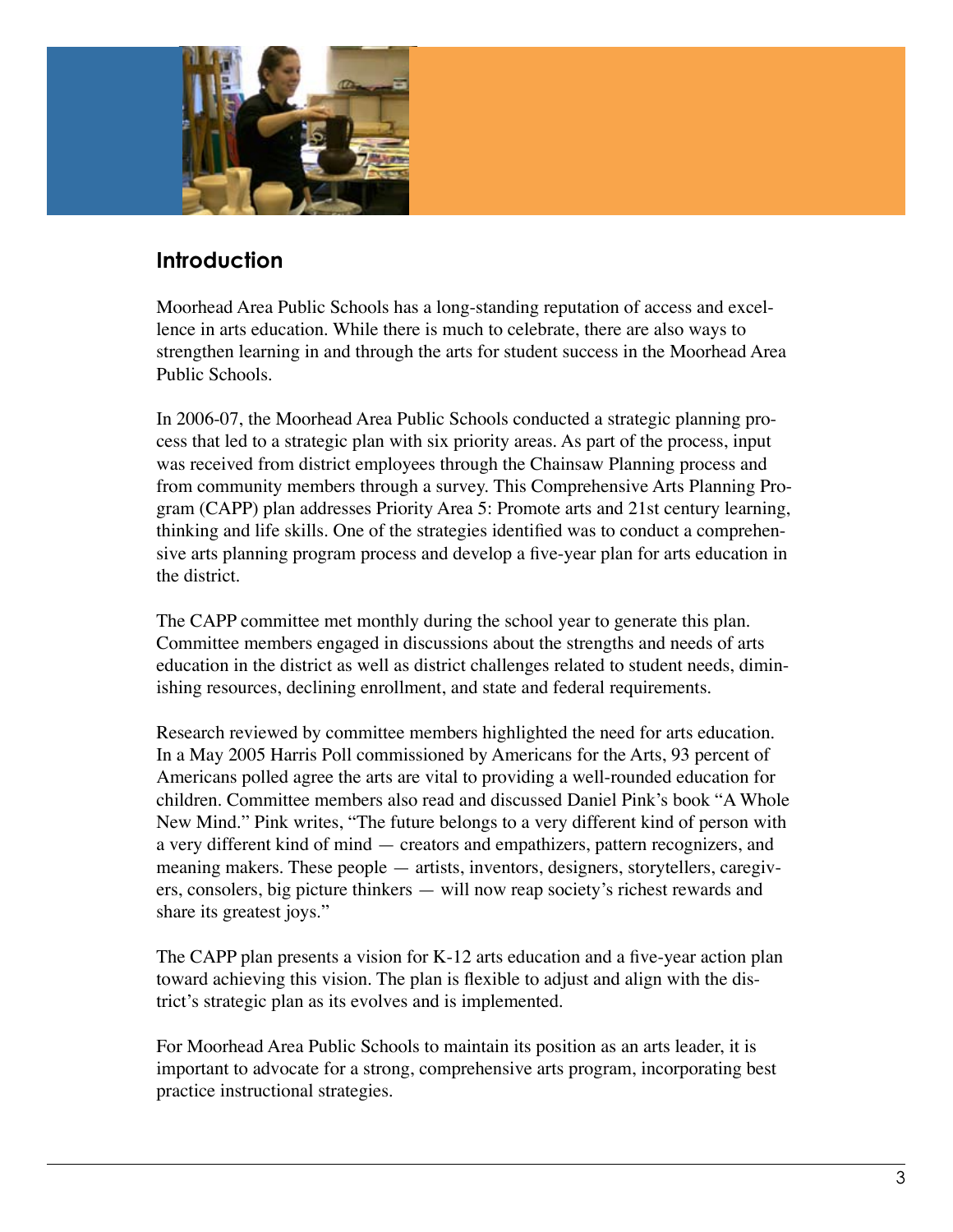

### **Introduction**

Moorhead Area Public Schools has a long-standing reputation of access and excellence in arts education. While there is much to celebrate, there are also ways to strengthen learning in and through the arts for student success in the Moorhead Area Public Schools.

In 2006-07, the Moorhead Area Public Schools conducted a strategic planning process that led to a strategic plan with six priority areas. As part of the process, input was received from district employees through the Chainsaw Planning process and from community members through a survey. This Comprehensive Arts Planning Program (CAPP) plan addresses Priority Area 5: Promote arts and 21st century learning, thinking and life skills. One of the strategies identified was to conduct a comprehensive arts planning program process and develop a five-year plan for arts education in the district.

The CAPP committee met monthly during the school year to generate this plan. Committee members engaged in discussions about the strengths and needs of arts education in the district as well as district challenges related to student needs, diminishing resources, declining enrollment, and state and federal requirements.

Research reviewed by committee members highlighted the need for arts education. In a May 2005 Harris Poll commissioned by Americans for the Arts, 93 percent of Americans polled agree the arts are vital to providing a well-rounded education for children. Committee members also read and discussed Daniel Pink's book "A Whole New Mind." Pink writes, "The future belongs to a very different kind of person with a very different kind of mind — creators and empathizers, pattern recognizers, and meaning makers. These people — artists, inventors, designers, storytellers, caregivers, consolers, big picture thinkers — will now reap society's richest rewards and share its greatest joys."

The CAPP plan presents a vision for K-12 arts education and a five-year action plan toward achieving this vision. The plan is flexible to adjust and align with the district's strategic plan as its evolves and is implemented.

For Moorhead Area Public Schools to maintain its position as an arts leader, it is important to advocate for a strong, comprehensive arts program, incorporating best practice instructional strategies.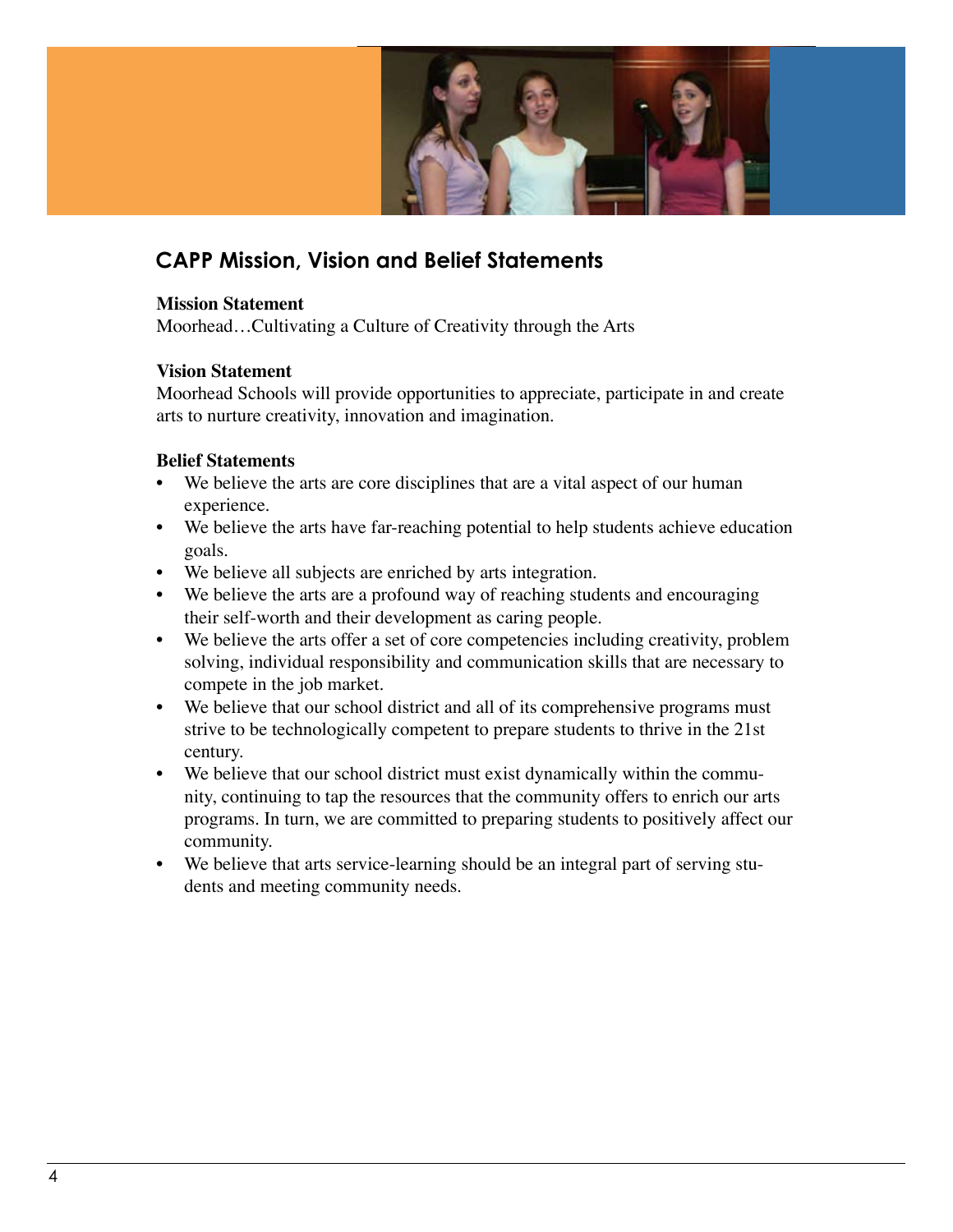

### **CAPP Mission, Vision and Belief Statements**

#### **Mission Statement**

Moorhead…Cultivating a Culture of Creativity through the Arts

#### **Vision Statement**

Moorhead Schools will provide opportunities to appreciate, participate in and create arts to nurture creativity, innovation and imagination.

#### **Belief Statements**

- We believe the arts are core disciplines that are a vital aspect of our human experience.
- We believe the arts have far-reaching potential to help students achieve education goals.
- We believe all subjects are enriched by arts integration.
- We believe the arts are a profound way of reaching students and encouraging their self-worth and their development as caring people.
- We believe the arts offer a set of core competencies including creativity, problem solving, individual responsibility and communication skills that are necessary to compete in the job market.
- We believe that our school district and all of its comprehensive programs must strive to be technologically competent to prepare students to thrive in the 21st century.
- We believe that our school district must exist dynamically within the community, continuing to tap the resources that the community offers to enrich our arts programs. In turn, we are committed to preparing students to positively affect our community.
- We believe that arts service-learning should be an integral part of serving students and meeting community needs.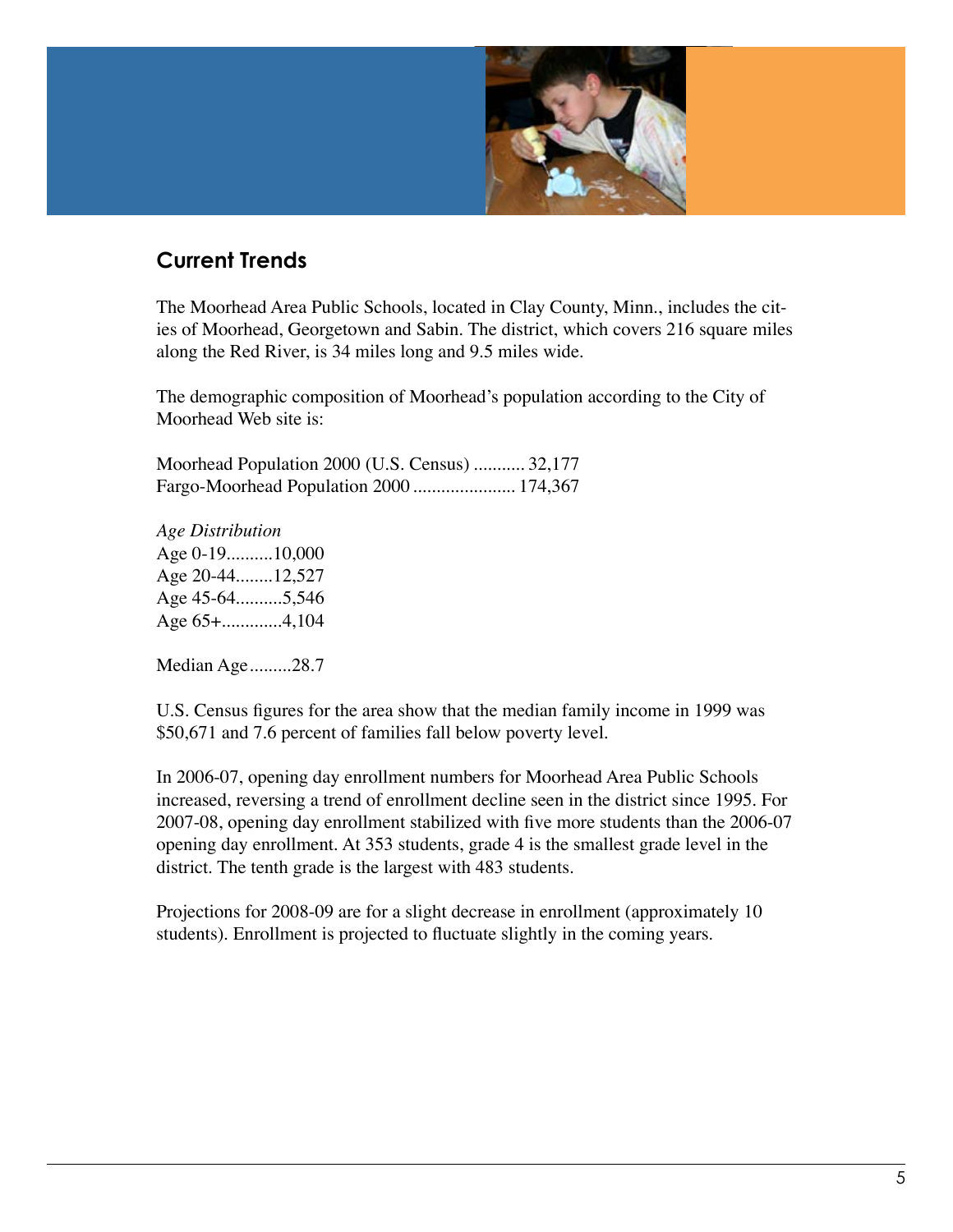

### **Current Trends**

The Moorhead Area Public Schools, located in Clay County, Minn., includes the cities of Moorhead, Georgetown and Sabin. The district, which covers 216 square miles along the Red River, is 34 miles long and 9.5 miles wide.

The demographic composition of Moorhead's population according to the City of Moorhead Web site is:

Moorhead Population 2000 (U.S. Census) ........... 32,177 Fargo-Moorhead Population 2000 ...................... 174,367

*Age Distribution* Age 0-19..........10,000 Age 20-44........12,527 Age 45-64..........5,546 Age 65+.............4,104

Median Age.........28.7

U.S. Census figures for the area show that the median family income in 1999 was \$50,671 and 7.6 percent of families fall below poverty level.

In 2006-07, opening day enrollment numbers for Moorhead Area Public Schools increased, reversing a trend of enrollment decline seen in the district since 1995. For 2007-08, opening day enrollment stabilized with five more students than the 2006-07 opening day enrollment. At 353 students, grade 4 is the smallest grade level in the district. The tenth grade is the largest with 483 students.

Projections for 2008-09 are for a slight decrease in enrollment (approximately 10 students). Enrollment is projected to fluctuate slightly in the coming years.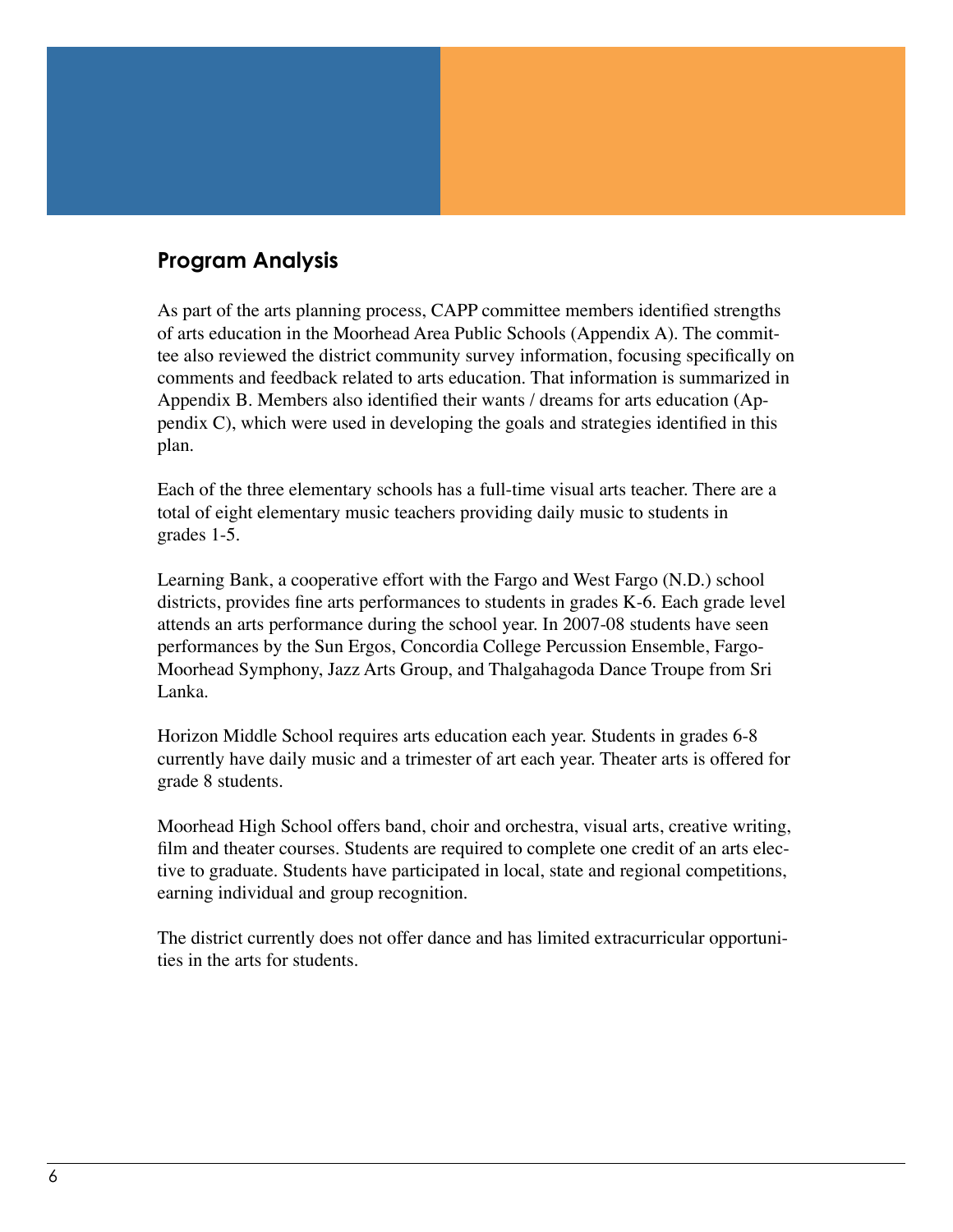### **Program Analysis**

As part of the arts planning process, CAPP committee members identified strengths of arts education in the Moorhead Area Public Schools (Appendix A). The committee also reviewed the district community survey information, focusing specifically on comments and feedback related to arts education. That information is summarized in Appendix B. Members also identified their wants / dreams for arts education (Appendix C), which were used in developing the goals and strategies identified in this plan.

Each of the three elementary schools has a full-time visual arts teacher. There are a total of eight elementary music teachers providing daily music to students in grades 1-5.

Learning Bank, a cooperative effort with the Fargo and West Fargo (N.D.) school districts, provides fine arts performances to students in grades K-6. Each grade level attends an arts performance during the school year. In 2007-08 students have seen performances by the Sun Ergos, Concordia College Percussion Ensemble, Fargo-Moorhead Symphony, Jazz Arts Group, and Thalgahagoda Dance Troupe from Sri Lanka.

Horizon Middle School requires arts education each year. Students in grades 6-8 currently have daily music and a trimester of art each year. Theater arts is offered for grade 8 students.

Moorhead High School offers band, choir and orchestra, visual arts, creative writing, film and theater courses. Students are required to complete one credit of an arts elective to graduate. Students have participated in local, state and regional competitions, earning individual and group recognition.

The district currently does not offer dance and has limited extracurricular opportunities in the arts for students.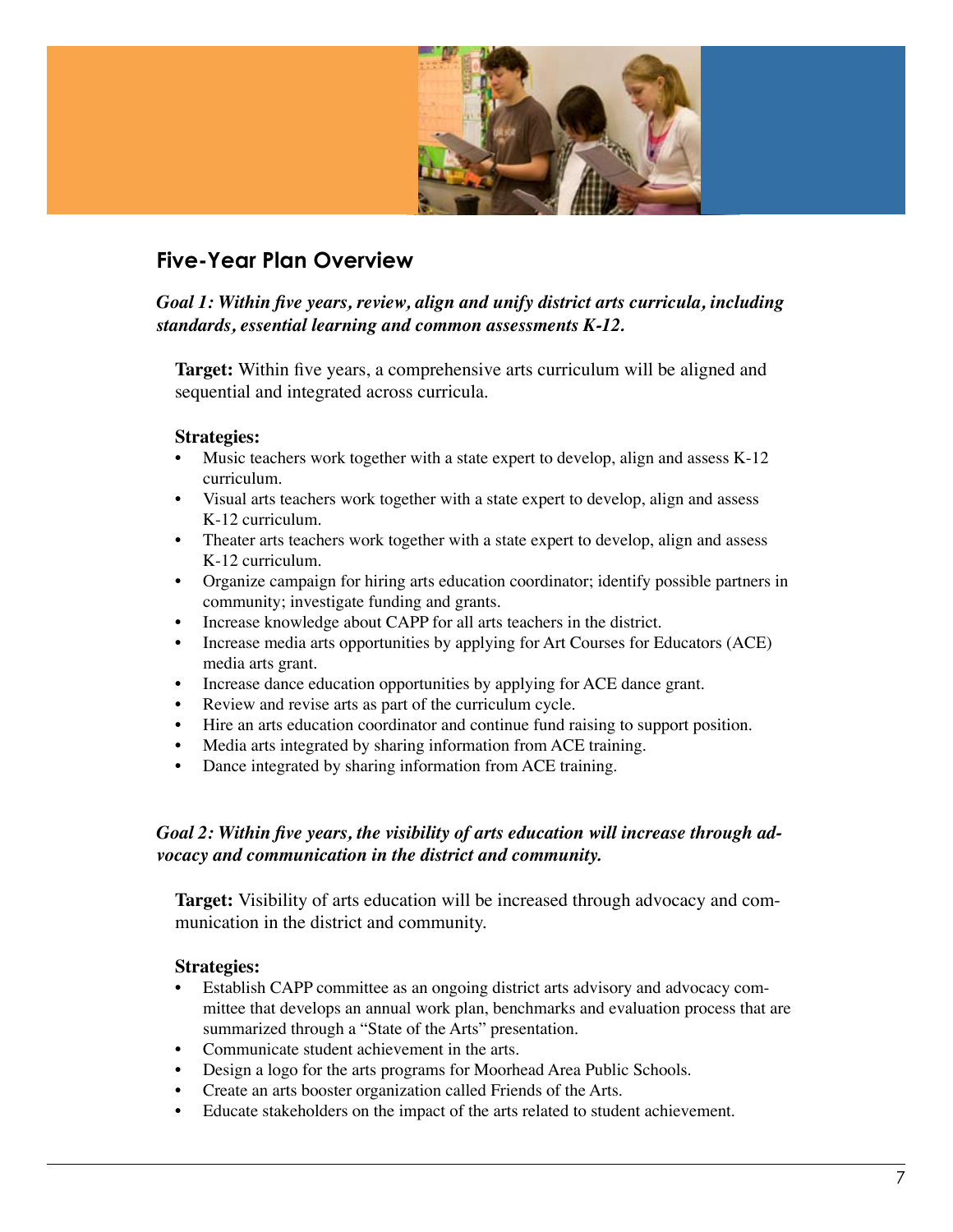

### **Five-Year Plan Overview**

#### *Goal 1: Within five years, review, align and unify district arts curricula, including standards, essential learning and common assessments K-12.*

**Target:** Within five years, a comprehensive arts curriculum will be aligned and sequential and integrated across curricula.

#### **Strategies:**

- Music teachers work together with a state expert to develop, align and assess K-12 curriculum.
- Visual arts teachers work together with a state expert to develop, align and assess K-12 curriculum.
- Theater arts teachers work together with a state expert to develop, align and assess K-12 curriculum.
- Organize campaign for hiring arts education coordinator; identify possible partners in community; investigate funding and grants.
- Increase knowledge about CAPP for all arts teachers in the district.
- Increase media arts opportunities by applying for Art Courses for Educators (ACE) media arts grant.
- Increase dance education opportunities by applying for ACE dance grant.
- Review and revise arts as part of the curriculum cycle.
- Hire an arts education coordinator and continue fund raising to support position.
- Media arts integrated by sharing information from ACE training.
- Dance integrated by sharing information from ACE training.

#### *Goal 2: Within five years, the visibility of arts education will increase through advocacy and communication in the district and community.*

**Target:** Visibility of arts education will be increased through advocacy and communication in the district and community.

#### **Strategies:**

- Establish CAPP committee as an ongoing district arts advisory and advocacy committee that develops an annual work plan, benchmarks and evaluation process that are summarized through a "State of the Arts" presentation.
- Communicate student achievement in the arts.
- Design a logo for the arts programs for Moorhead Area Public Schools.
- Create an arts booster organization called Friends of the Arts.
- Educate stakeholders on the impact of the arts related to student achievement.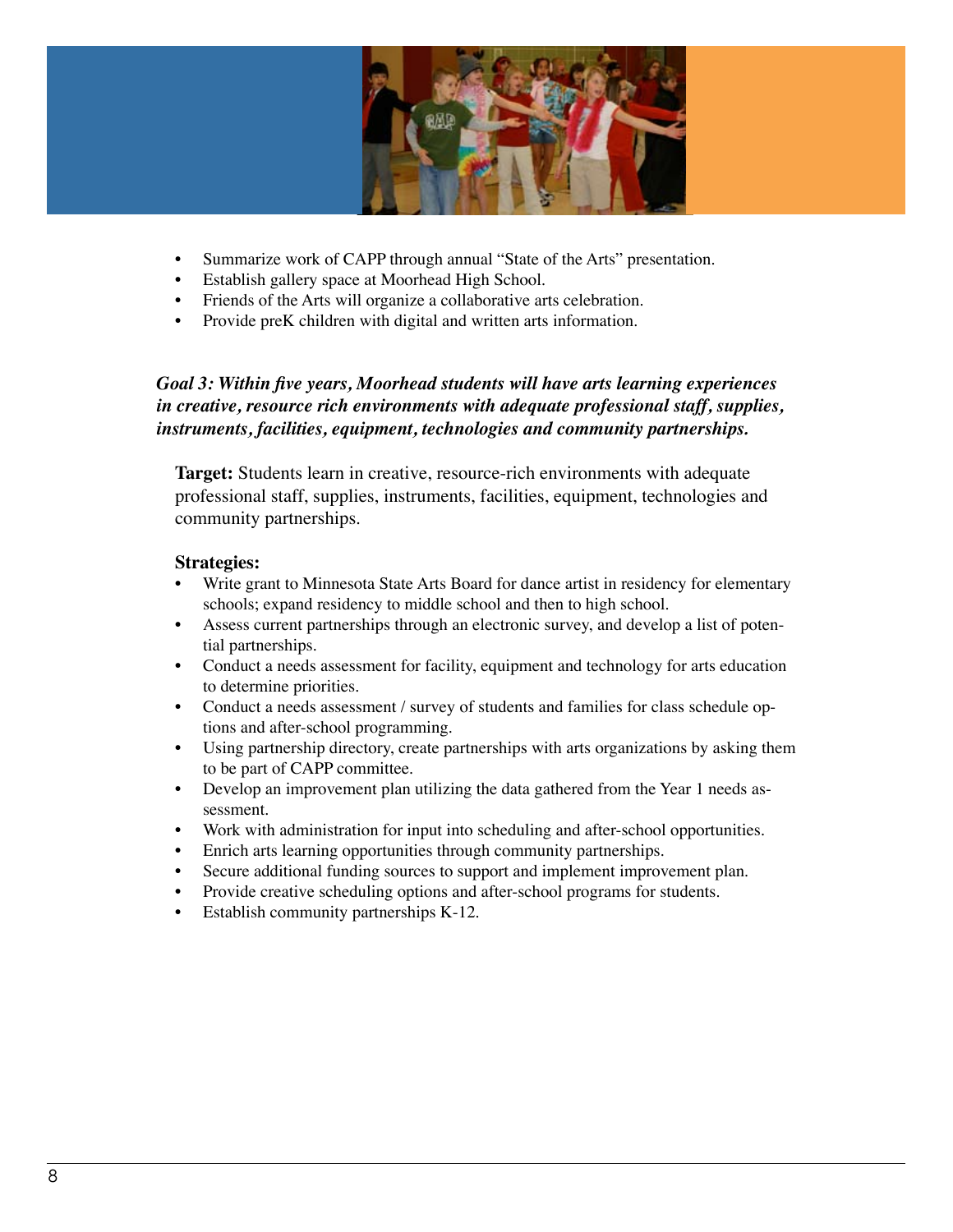

- Summarize work of CAPP through annual "State of the Arts" presentation.
- Establish gallery space at Moorhead High School.
- Friends of the Arts will organize a collaborative arts celebration.
- Provide preK children with digital and written arts information.

**Target:** Students learn in creative, resource-rich environments with adequate professional staff, supplies, instruments, facilities, equipment, technologies and community partnerships.

#### **Strategies:**

- Write grant to Minnesota State Arts Board for dance artist in residency for elementary schools; expand residency to middle school and then to high school.
- Assess current partnerships through an electronic survey, and develop a list of potential partnerships.
- Conduct a needs assessment for facility, equipment and technology for arts education to determine priorities.
- Conduct a needs assessment / survey of students and families for class schedule options and after-school programming.
- Using partnership directory, create partnerships with arts organizations by asking them to be part of CAPP committee.
- Develop an improvement plan utilizing the data gathered from the Year 1 needs assessment.
- Work with administration for input into scheduling and after-school opportunities.
- Enrich arts learning opportunities through community partnerships.
- Secure additional funding sources to support and implement improvement plan.
- Provide creative scheduling options and after-school programs for students.
- Establish community partnerships K-12.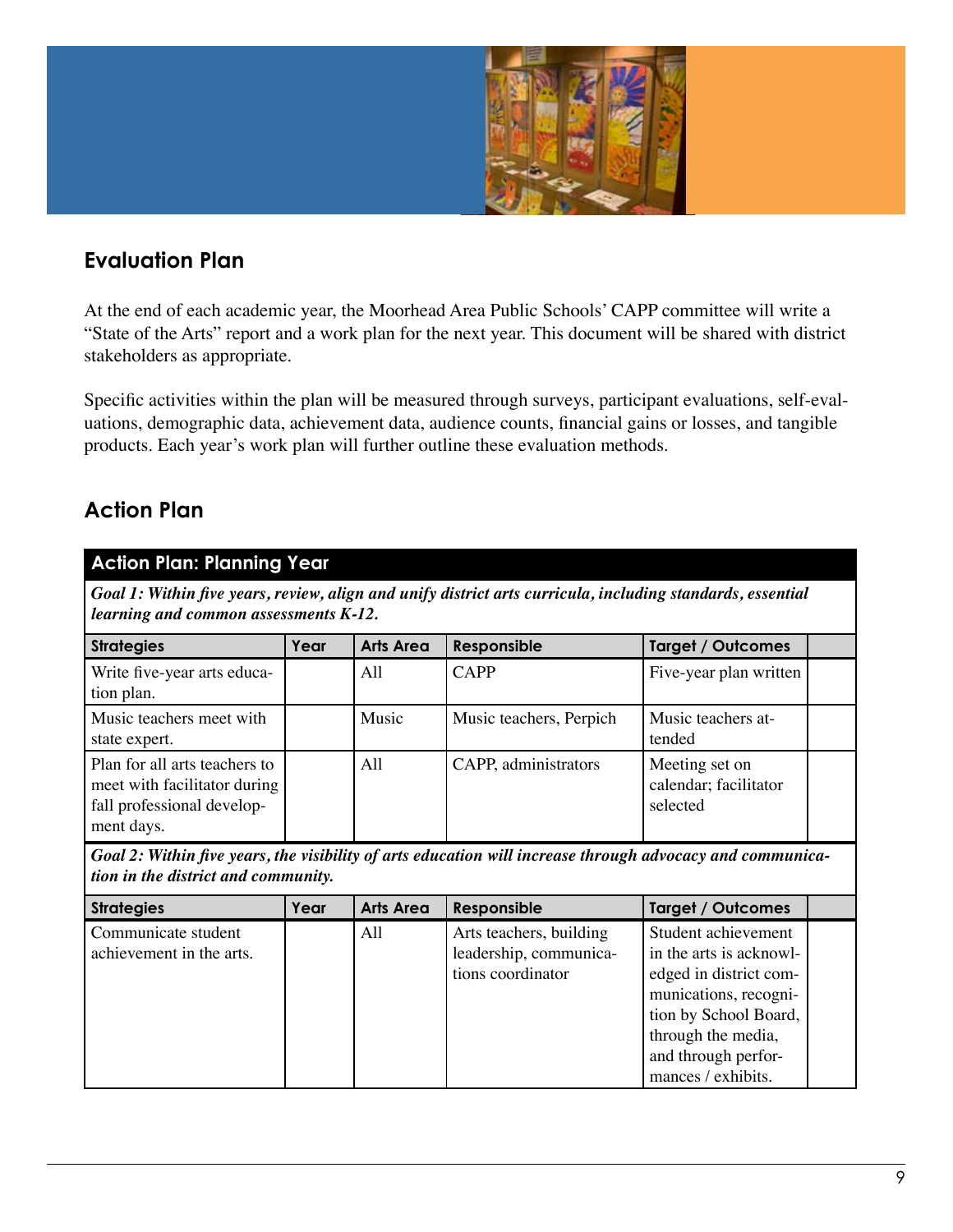

### **Evaluation Plan**

At the end of each academic year, the Moorhead Area Public Schools' CAPP committee will write a "State of the Arts" report and a work plan for the next year. This document will be shared with district stakeholders as appropriate.

Specific activities within the plan will be measured through surveys, participant evaluations, self-evaluations, demographic data, achievement data, audience counts, financial gains or losses, and tangible products. Each year's work plan will further outline these evaluation methods.

### **Action Plan**

| <b>Action Plan: Planning Year</b>                                                                                                                   |      |                  |                                                   |                                                     |  |  |  |  |
|-----------------------------------------------------------------------------------------------------------------------------------------------------|------|------------------|---------------------------------------------------|-----------------------------------------------------|--|--|--|--|
| Goal 1: Within five years, review, align and unify district arts curricula, including standards, essential<br>learning and common assessments K-12. |      |                  |                                                   |                                                     |  |  |  |  |
| <b>Strategies</b>                                                                                                                                   | Year | <b>Arts Area</b> | Responsible                                       | <b>Target / Outcomes</b>                            |  |  |  |  |
| Write five-year arts educa-<br>tion plan.                                                                                                           |      | All              | <b>CAPP</b>                                       | Five-year plan written                              |  |  |  |  |
| Music teachers meet with<br>state expert.                                                                                                           |      | Music            | Music teachers, Perpich                           | Music teachers at-<br>tended                        |  |  |  |  |
| Plan for all arts teachers to<br>meet with facilitator during<br>fall professional develop-<br>ment days.                                           |      | All              | CAPP, administrators                              | Meeting set on<br>calendar; facilitator<br>selected |  |  |  |  |
| Goal 2: Within five years, the visibility of arts education will increase through advocacy and communica-<br>tion in the district and community.    |      |                  |                                                   |                                                     |  |  |  |  |
| <b>Strategies</b>                                                                                                                                   | Year | <b>Arts Area</b> | Responsible                                       | <b>Target / Outcomes</b>                            |  |  |  |  |
| Communicate student<br>achievement in the arts.                                                                                                     |      | All              | Arts teachers, building<br>leadership, communica- | Student achievement<br>in the arts is acknowl-      |  |  |  |  |

| Communicate station      | $\overline{1}$ | THE REALISTS, CALIGNING | <u>otagont aonio Fontont</u> |  |
|--------------------------|----------------|-------------------------|------------------------------|--|
| achievement in the arts. |                | leadership, communica-  | in the arts is acknowl-      |  |
|                          |                | tions coordinator       | edged in district com-       |  |
|                          |                |                         | munications, recogni-        |  |
|                          |                |                         | tion by School Board,        |  |
|                          |                |                         | through the media,           |  |
|                          |                |                         | and through perfor-          |  |
|                          |                |                         | mances / exhibits.           |  |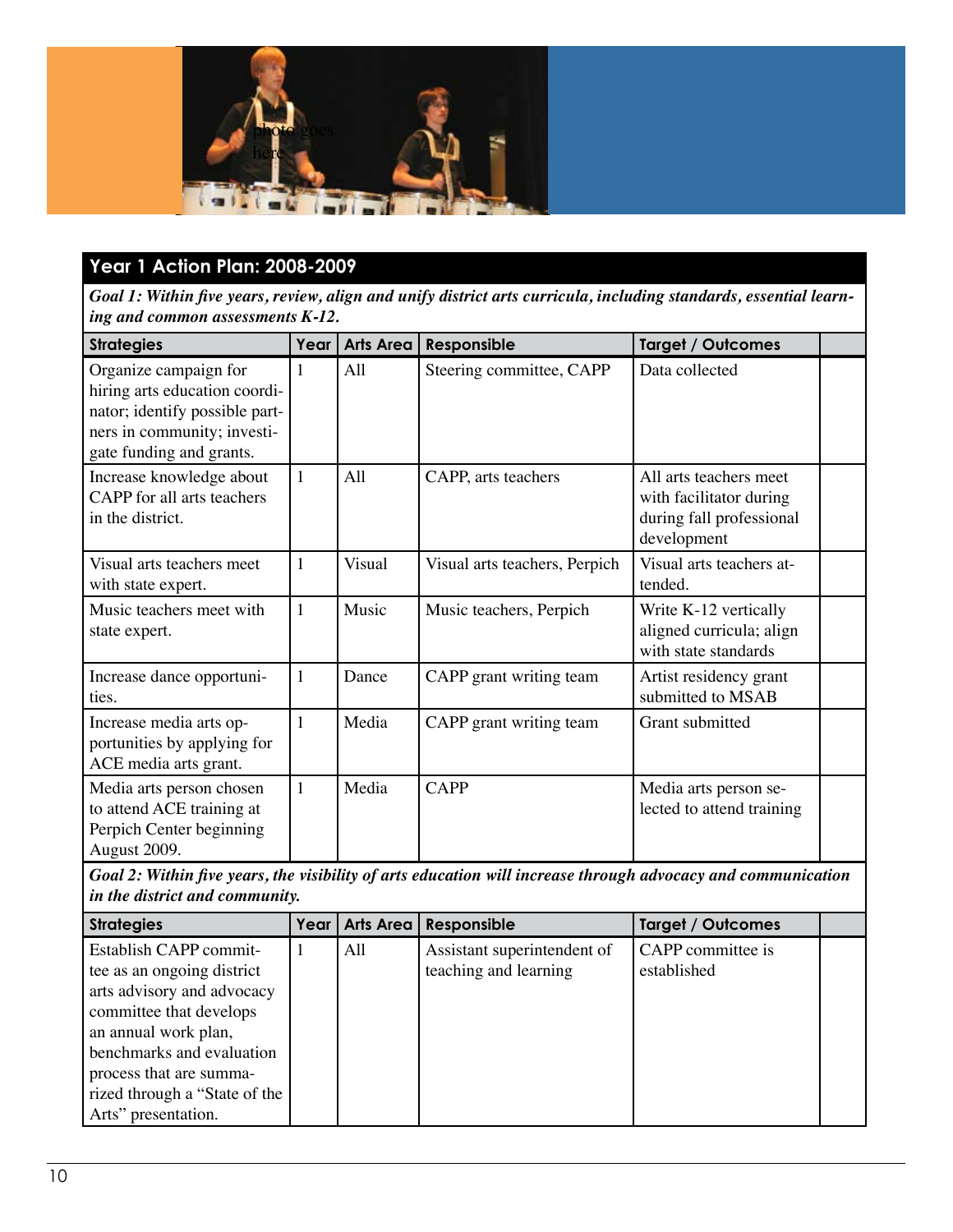

### **Year 1 Action Plan: 2008-2009**

*Goal 1: Within five years, review, align and unify district arts curricula, including standards, essential learning and common assessments K-12.*

| <b>Strategies</b>                                                                                                                                   | Year         | <b>Arts Area</b> | Responsible                   | <b>Target / Outcomes</b>                                                                     |  |
|-----------------------------------------------------------------------------------------------------------------------------------------------------|--------------|------------------|-------------------------------|----------------------------------------------------------------------------------------------|--|
| Organize campaign for<br>hiring arts education coordi-<br>nator; identify possible part-<br>ners in community; investi-<br>gate funding and grants. | 1            | All              | Steering committee, CAPP      | Data collected                                                                               |  |
| Increase knowledge about<br>CAPP for all arts teachers<br>in the district.                                                                          | 1            | All              | CAPP, arts teachers           | All arts teachers meet<br>with facilitator during<br>during fall professional<br>development |  |
| Visual arts teachers meet<br>with state expert.                                                                                                     | $\mathbf{1}$ | Visual           | Visual arts teachers, Perpich | Visual arts teachers at-<br>tended.                                                          |  |
| Music teachers meet with<br>state expert.                                                                                                           | $\mathbf{1}$ | Music            | Music teachers, Perpich       | Write K-12 vertically<br>aligned curricula; align<br>with state standards                    |  |
| Increase dance opportuni-<br>ties.                                                                                                                  | 1            | Dance            | CAPP grant writing team       | Artist residency grant<br>submitted to MSAB                                                  |  |
| Increase media arts op-<br>portunities by applying for<br>ACE media arts grant.                                                                     | $\mathbf{1}$ | Media            | CAPP grant writing team       | Grant submitted                                                                              |  |
| Media arts person chosen<br>to attend ACE training at<br>Perpich Center beginning<br>August 2009.                                                   | 1            | Media            | <b>CAPP</b>                   | Media arts person se-<br>lected to attend training                                           |  |

*Goal 2: Within five years, the visibility of arts education will increase through advocacy and communication in the district and community.*

| <b>Strategies</b>             | Year | Arts Area | Responsible                 | <b>Target / Outcomes</b> |  |
|-------------------------------|------|-----------|-----------------------------|--------------------------|--|
| Establish CAPP commit-        |      | All       | Assistant superintendent of | CAPP committee is        |  |
| tee as an ongoing district    |      |           | teaching and learning       | established              |  |
| arts advisory and advocacy    |      |           |                             |                          |  |
| committee that develops       |      |           |                             |                          |  |
| an annual work plan,          |      |           |                             |                          |  |
| benchmarks and evaluation     |      |           |                             |                          |  |
| process that are summa-       |      |           |                             |                          |  |
| rized through a "State of the |      |           |                             |                          |  |
| Arts" presentation.           |      |           |                             |                          |  |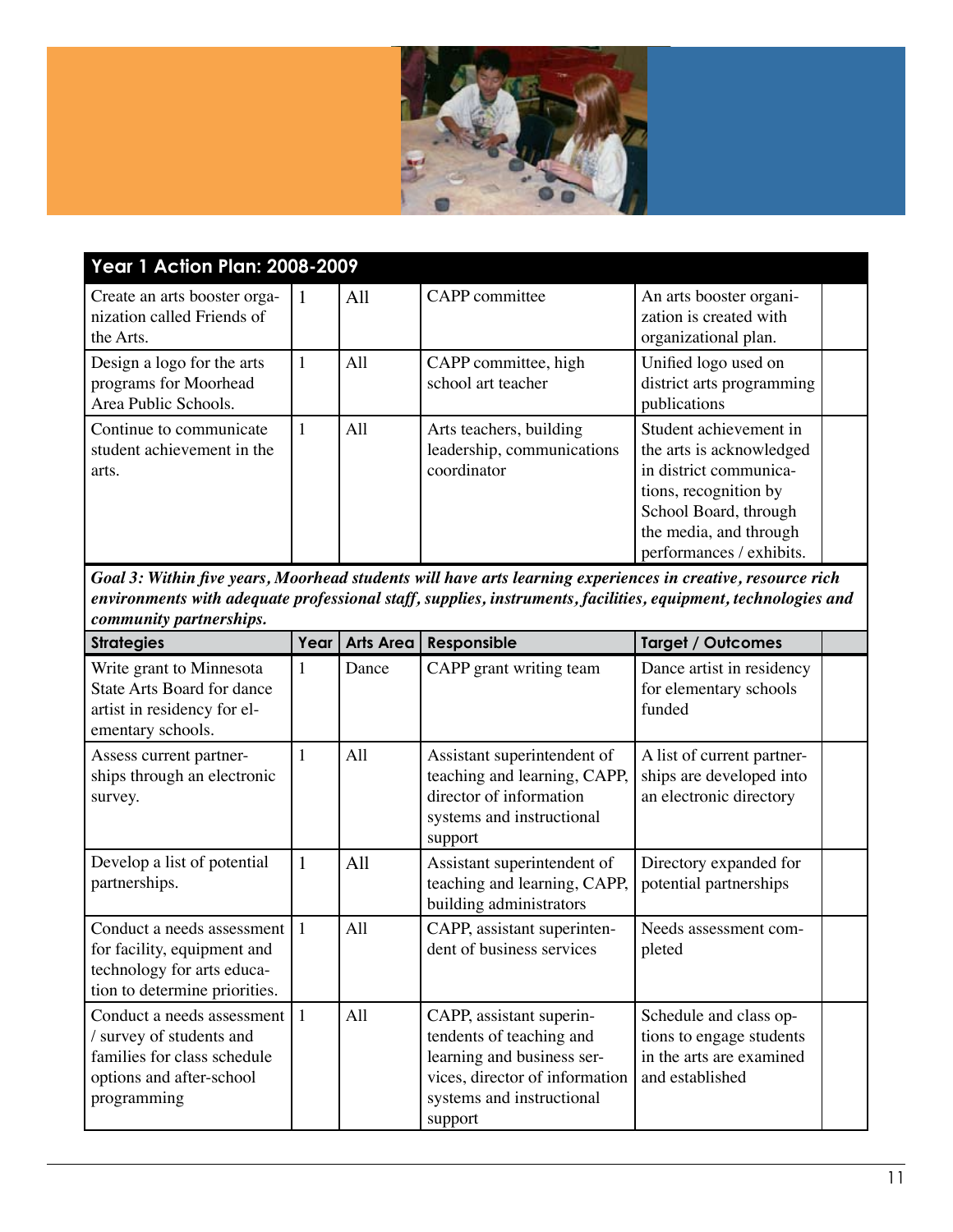

| <b>Year 1 Action Plan: 2008-2009</b>                                        |                |     |                                                                      |                                                                                                                                                                                      |  |  |  |
|-----------------------------------------------------------------------------|----------------|-----|----------------------------------------------------------------------|--------------------------------------------------------------------------------------------------------------------------------------------------------------------------------------|--|--|--|
| Create an arts booster orga-<br>nization called Friends of<br>the Arts.     | $\overline{1}$ | All | CAPP committee                                                       | An arts booster organi-<br>zation is created with<br>organizational plan.                                                                                                            |  |  |  |
| Design a logo for the arts<br>programs for Moorhead<br>Area Public Schools. | 1              | A11 | CAPP committee, high<br>school art teacher                           | Unified logo used on<br>district arts programming<br>publications                                                                                                                    |  |  |  |
| Continue to communicate<br>student achievement in the<br>arts.              | 1              | All | Arts teachers, building<br>leadership, communications<br>coordinator | Student achievement in<br>the arts is acknowledged<br>in district communica-<br>tions, recognition by<br>School Board, through<br>the media, and through<br>performances / exhibits. |  |  |  |

| <b>Strategies</b>                                                                                                                | Year         | <b>Arts Area</b> | Responsible                                                                                                                                                  | <b>Target / Outcomes</b>                                                                          |  |
|----------------------------------------------------------------------------------------------------------------------------------|--------------|------------------|--------------------------------------------------------------------------------------------------------------------------------------------------------------|---------------------------------------------------------------------------------------------------|--|
| Write grant to Minnesota<br><b>State Arts Board for dance</b><br>artist in residency for el-<br>ementary schools.                | 1            | Dance            | CAPP grant writing team                                                                                                                                      | Dance artist in residency<br>for elementary schools<br>funded                                     |  |
| Assess current partner-<br>ships through an electronic<br>survey.                                                                |              | All              | Assistant superintendent of<br>teaching and learning, CAPP,<br>director of information<br>systems and instructional<br>support                               | A list of current partner-<br>ships are developed into<br>an electronic directory                 |  |
| Develop a list of potential<br>partnerships.                                                                                     | $\mathbf{1}$ | All              | Assistant superintendent of<br>teaching and learning, CAPP,<br>building administrators                                                                       | Directory expanded for<br>potential partnerships                                                  |  |
| Conduct a needs assessment<br>for facility, equipment and<br>technology for arts educa-<br>tion to determine priorities.         |              | All              | CAPP, assistant superinten-<br>dent of business services                                                                                                     | Needs assessment com-<br>pleted                                                                   |  |
| Conduct a needs assessment<br>/ survey of students and<br>families for class schedule<br>options and after-school<br>programming | $\vert$ 1    | All              | CAPP, assistant superin-<br>tendents of teaching and<br>learning and business ser-<br>vices, director of information<br>systems and instructional<br>support | Schedule and class op-<br>tions to engage students<br>in the arts are examined<br>and established |  |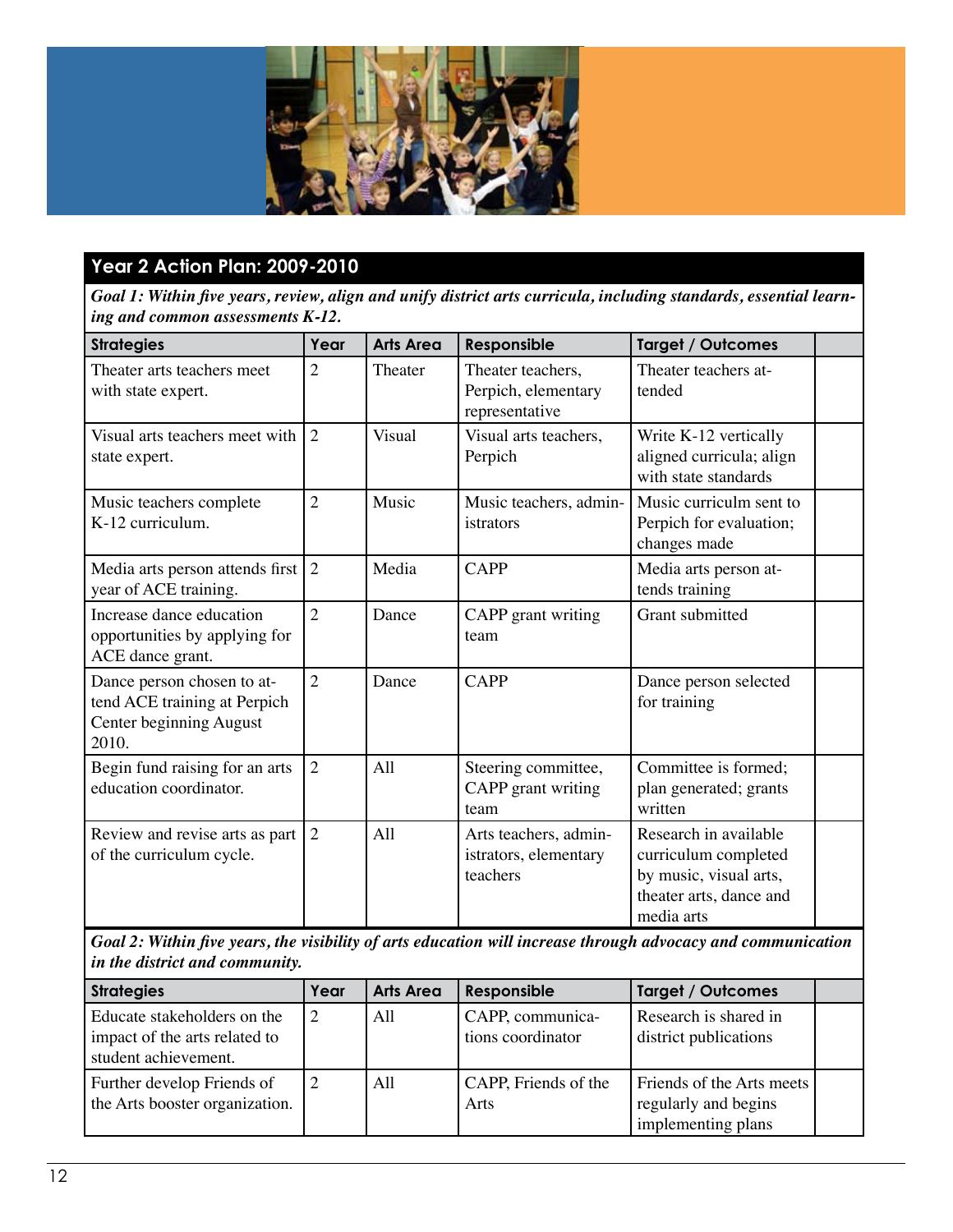

### **Year 2 Action Plan: 2009-2010**

*Goal 1: Within five years, review, align and unify district arts curricula, including standards, essential learning and common assessments K-12.*

| <b>Strategies</b>                                                                              | Year           | <b>Arts Area</b> | Responsible                                                | <b>Target / Outcomes</b>                                                                                         |  |
|------------------------------------------------------------------------------------------------|----------------|------------------|------------------------------------------------------------|------------------------------------------------------------------------------------------------------------------|--|
| Theater arts teachers meet<br>with state expert.                                               | $\overline{2}$ | Theater          | Theater teachers,<br>Perpich, elementary<br>representative | Theater teachers at-<br>tended                                                                                   |  |
| Visual arts teachers meet with<br>state expert.                                                | 2              | <b>Visual</b>    | Visual arts teachers,<br>Perpich                           | Write K-12 vertically<br>aligned curricula; align<br>with state standards                                        |  |
| Music teachers complete<br>K-12 curriculum.                                                    | $\overline{2}$ | Music            | Music teachers, admin-<br>istrators                        | Music curriculm sent to<br>Perpich for evaluation;<br>changes made                                               |  |
| Media arts person attends first<br>year of ACE training.                                       | 2              | Media            | <b>CAPP</b>                                                | Media arts person at-<br>tends training                                                                          |  |
| Increase dance education<br>opportunities by applying for<br>ACE dance grant.                  | $\overline{2}$ | Dance            | CAPP grant writing<br>team                                 | Grant submitted                                                                                                  |  |
| Dance person chosen to at-<br>tend ACE training at Perpich<br>Center beginning August<br>2010. | $\overline{2}$ | Dance            | <b>CAPP</b>                                                | Dance person selected<br>for training                                                                            |  |
| Begin fund raising for an arts<br>education coordinator.                                       | $\overline{2}$ | All              | Steering committee,<br>CAPP grant writing<br>team          | Committee is formed;<br>plan generated; grants<br>written                                                        |  |
| Review and revise arts as part<br>of the curriculum cycle.                                     | $\overline{2}$ | A11              | Arts teachers, admin-<br>istrators, elementary<br>teachers | Research in available<br>curriculum completed<br>by music, visual arts,<br>theater arts, dance and<br>media arts |  |

*Goal 2: Within five years, the visibility of arts education will increase through advocacy and communication in the district and community.*

| <b>Strategies</b>                                                                    | Year | <b>Arts Area</b> | Responsible                           | <b>Target / Outcomes</b>                                                |  |
|--------------------------------------------------------------------------------------|------|------------------|---------------------------------------|-------------------------------------------------------------------------|--|
| Educate stakeholders on the<br>impact of the arts related to<br>student achievement. | 2    | A11              | CAPP, communica-<br>tions coordinator | Research is shared in<br>district publications                          |  |
| Further develop Friends of<br>the Arts booster organization.                         |      | A11              | CAPP, Friends of the<br>Arts          | Friends of the Arts meets<br>regularly and begins<br>implementing plans |  |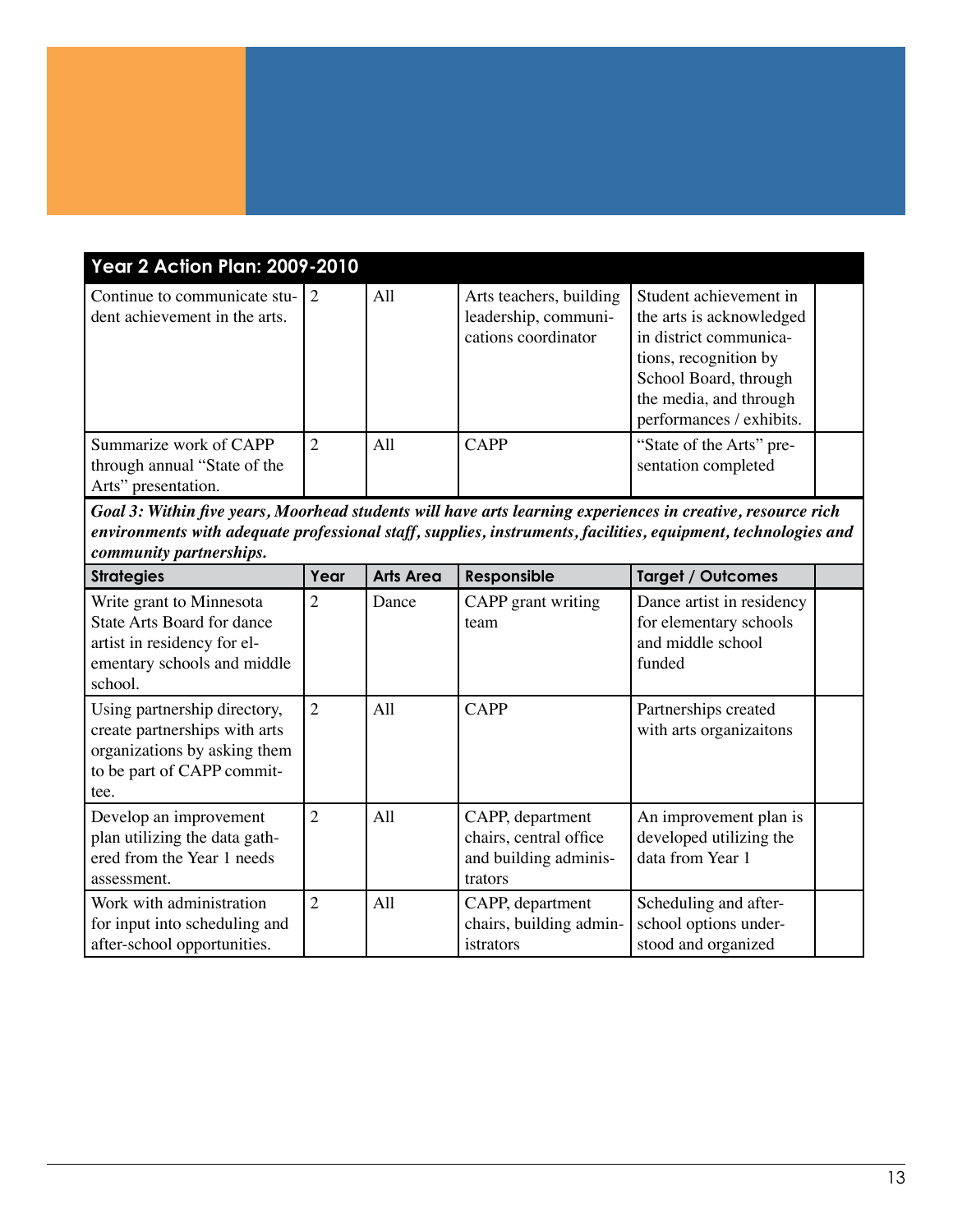| <b>Year 2 Action Plan: 2009-2010</b>                                          |                |     |                                                                        |                                                                                                                                                                                      |  |  |
|-------------------------------------------------------------------------------|----------------|-----|------------------------------------------------------------------------|--------------------------------------------------------------------------------------------------------------------------------------------------------------------------------------|--|--|
| Continue to communicate stu-12<br>dent achievement in the arts.               |                | All | Arts teachers, building<br>leadership, communi-<br>cations coordinator | Student achievement in<br>the arts is acknowledged<br>in district communica-<br>tions, recognition by<br>School Board, through<br>the media, and through<br>performances / exhibits. |  |  |
| Summarize work of CAPP<br>through annual "State of the<br>Arts" presentation. | $\overline{2}$ | All | <b>CAPP</b>                                                            | "State of the Arts" pre-<br>sentation completed                                                                                                                                      |  |  |

| <b>Strategies</b>                                                                                                                      | Year           | <b>Arts Area</b> | Responsible                                                                    | <b>Target / Outcomes</b>                                                           |  |
|----------------------------------------------------------------------------------------------------------------------------------------|----------------|------------------|--------------------------------------------------------------------------------|------------------------------------------------------------------------------------|--|
| Write grant to Minnesota<br><b>State Arts Board for dance</b><br>artist in residency for el-<br>ementary schools and middle<br>school. | $\overline{2}$ | Dance            | CAPP grant writing<br>team                                                     | Dance artist in residency<br>for elementary schools<br>and middle school<br>funded |  |
| Using partnership directory,<br>create partnerships with arts<br>organizations by asking them<br>to be part of CAPP commit-<br>tee.    | $\overline{2}$ | All              | <b>CAPP</b>                                                                    | Partnerships created<br>with arts organizaitons                                    |  |
| Develop an improvement<br>plan utilizing the data gath-<br>ered from the Year 1 needs<br>assessment.                                   | $\overline{2}$ | All              | CAPP, department<br>chairs, central office<br>and building adminis-<br>trators | An improvement plan is<br>developed utilizing the<br>data from Year 1              |  |
| Work with administration<br>for input into scheduling and<br>after-school opportunities.                                               | $\overline{2}$ | A11              | CAPP, department<br>chairs, building admin-<br>istrators                       | Scheduling and after-<br>school options under-<br>stood and organized              |  |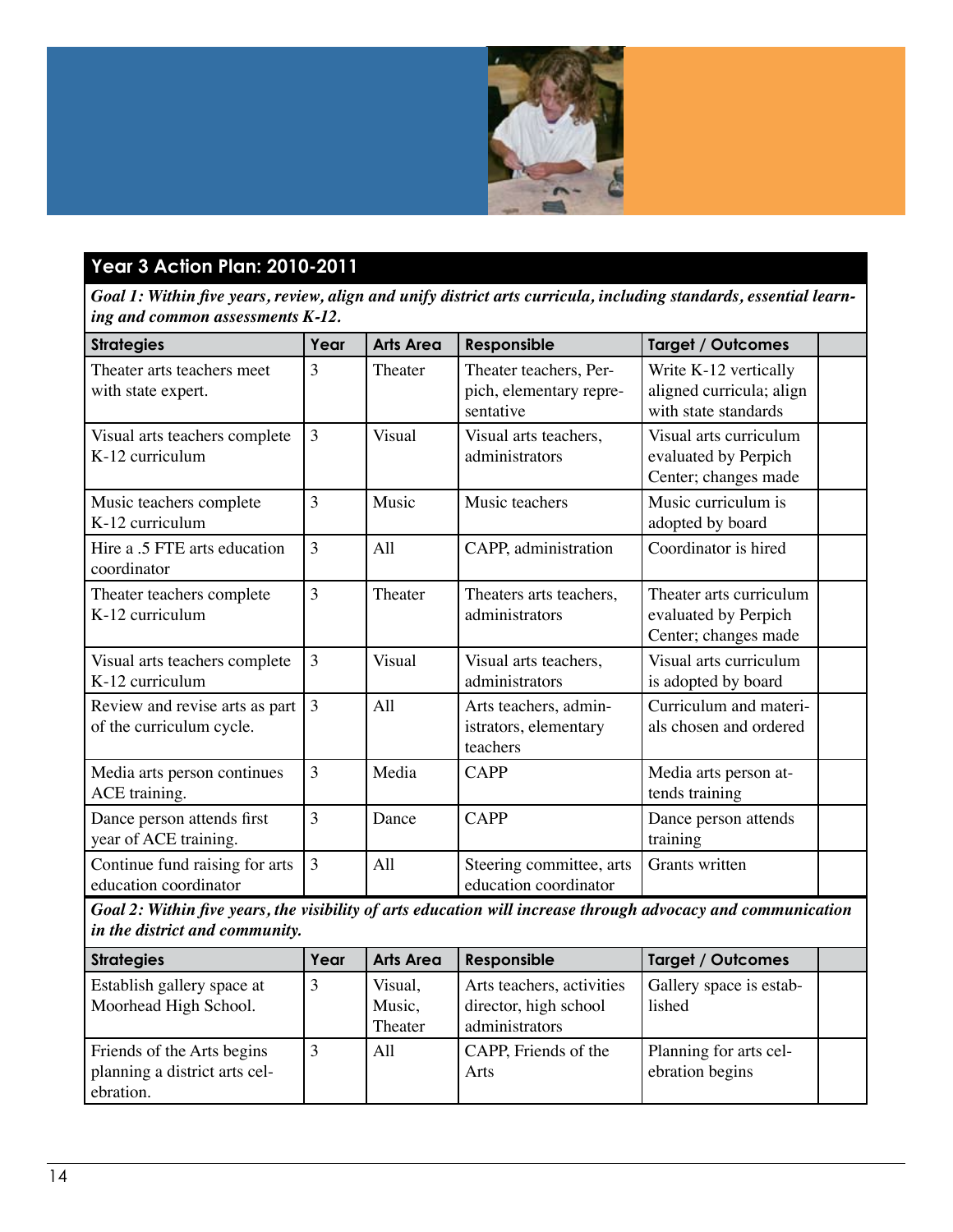

### **Year 3 Action Plan: 2010-2011**

*Goal 1: Within five years, review, align and unify district arts curricula, including standards, essential learning and common assessments K-12.*

| <b>Strategies</b>                                          | Year           | <b>Arts Area</b> | Responsible                                                    | <b>Target / Outcomes</b>                                                  |  |
|------------------------------------------------------------|----------------|------------------|----------------------------------------------------------------|---------------------------------------------------------------------------|--|
| Theater arts teachers meet<br>with state expert.           | 3              | Theater          | Theater teachers, Per-<br>pich, elementary repre-<br>sentative | Write K-12 vertically<br>aligned curricula; align<br>with state standards |  |
| Visual arts teachers complete<br>K-12 curriculum           | 3              | <b>Visual</b>    | Visual arts teachers,<br>administrators                        | Visual arts curriculum<br>evaluated by Perpich<br>Center; changes made    |  |
| Music teachers complete<br>K-12 curriculum                 | 3              | Music            | Music teachers                                                 | Music curriculum is<br>adopted by board                                   |  |
| Hire a .5 FTE arts education<br>coordinator                | 3              | All              | CAPP, administration                                           | Coordinator is hired                                                      |  |
| Theater teachers complete<br>K-12 curriculum               | 3              | Theater          | Theaters arts teachers,<br>administrators                      | Theater arts curriculum<br>evaluated by Perpich<br>Center; changes made   |  |
| Visual arts teachers complete<br>K-12 curriculum           | 3              | <b>Visual</b>    | Visual arts teachers,<br>administrators                        | Visual arts curriculum<br>is adopted by board                             |  |
| Review and revise arts as part<br>of the curriculum cycle. | $\overline{3}$ | All              | Arts teachers, admin-<br>istrators, elementary<br>teachers     | Curriculum and materi-<br>als chosen and ordered                          |  |
| Media arts person continues<br>ACE training.               | 3              | Media            | <b>CAPP</b>                                                    | Media arts person at-<br>tends training                                   |  |
| Dance person attends first<br>year of ACE training.        | 3              | Dance            | <b>CAPP</b>                                                    | Dance person attends<br>training                                          |  |
| Continue fund raising for arts<br>education coordinator    | 3              | All              | Steering committee, arts<br>education coordinator              | Grants written                                                            |  |

*Goal 2: Within five years, the visibility of arts education will increase through advocacy and communication in the district and community.*

| <b>Strategies</b>                                                        | Year | <b>Arts Area</b>             | Responsible                                                          | <b>Target / Outcomes</b>                  |  |
|--------------------------------------------------------------------------|------|------------------------------|----------------------------------------------------------------------|-------------------------------------------|--|
| Establish gallery space at<br>Moorhead High School.                      |      | Visual,<br>Music,<br>Theater | Arts teachers, activities<br>director, high school<br>administrators | Gallery space is estab-<br>lished         |  |
| Friends of the Arts begins<br>planning a district arts cel-<br>ebration. |      | A11                          | CAPP, Friends of the<br>Arts                                         | Planning for arts cel-<br>ebration begins |  |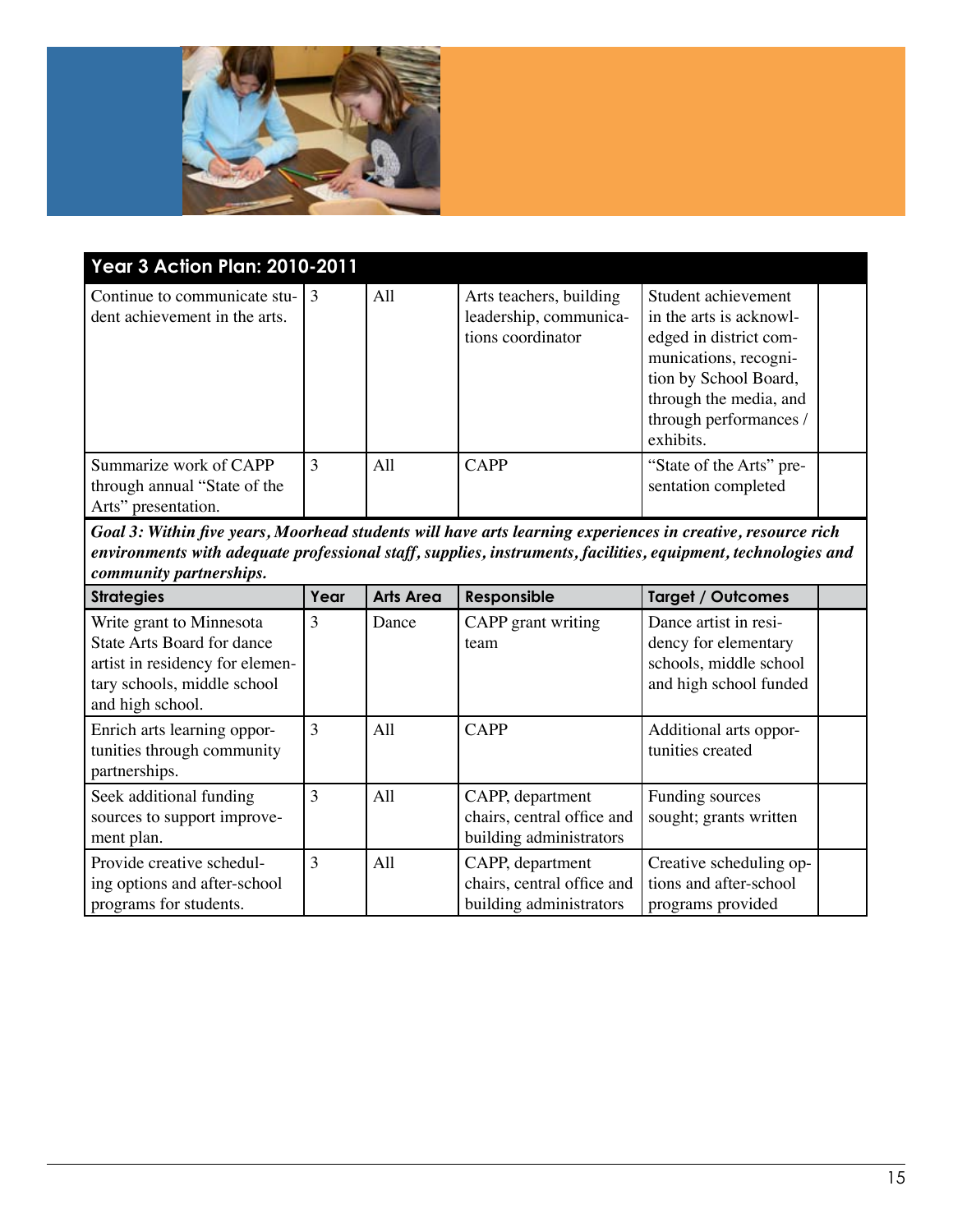

| <b>Year 3 Action Plan: 2010-2011</b>                                          |   |     |                                                                        |                                                                                                                                                                                             |  |
|-------------------------------------------------------------------------------|---|-----|------------------------------------------------------------------------|---------------------------------------------------------------------------------------------------------------------------------------------------------------------------------------------|--|
| Continue to communicate stu- $\vert$ 3<br>dent achievement in the arts.       |   | All | Arts teachers, building<br>leadership, communica-<br>tions coordinator | Student achievement<br>in the arts is acknowl-<br>edged in district com-<br>munications, recogni-<br>tion by School Board,<br>through the media, and<br>through performances /<br>exhibits. |  |
| Summarize work of CAPP<br>through annual "State of the<br>Arts" presentation. | 3 | All | <b>CAPP</b>                                                            | "State of the Arts" pre-<br>sentation completed                                                                                                                                             |  |

| <b>Strategies</b>                                                                                                                                   | Year | <b>Arts Area</b> | Responsible                                                               | <b>Target / Outcomes</b>                                                                          |  |
|-----------------------------------------------------------------------------------------------------------------------------------------------------|------|------------------|---------------------------------------------------------------------------|---------------------------------------------------------------------------------------------------|--|
| Write grant to Minnesota<br><b>State Arts Board for dance</b><br>artist in residency for elemen-<br>tary schools, middle school<br>and high school. | 3    | Dance            | CAPP grant writing<br>team                                                | Dance artist in resi-<br>dency for elementary<br>schools, middle school<br>and high school funded |  |
| Enrich arts learning oppor-<br>tunities through community<br>partnerships.                                                                          | 3    | All              | <b>CAPP</b>                                                               | Additional arts oppor-<br>tunities created                                                        |  |
| Seek additional funding<br>sources to support improve-<br>ment plan.                                                                                | 3    | All              | CAPP, department<br>chairs, central office and<br>building administrators | Funding sources<br>sought; grants written                                                         |  |
| Provide creative schedul-<br>ing options and after-school<br>programs for students.                                                                 | 3    | A11              | CAPP, department<br>chairs, central office and<br>building administrators | Creative scheduling op-<br>tions and after-school<br>programs provided                            |  |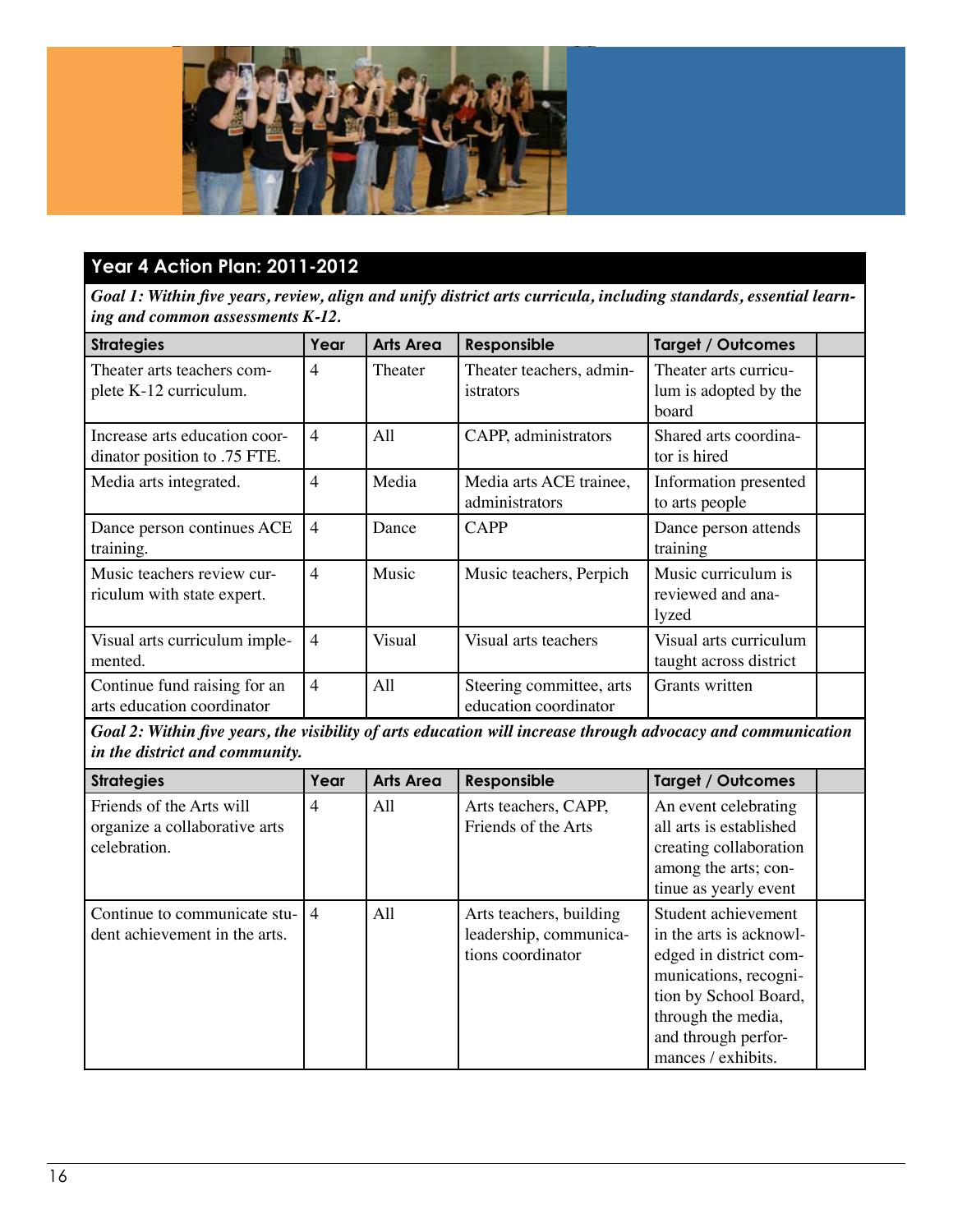

### **Year 4 Action Plan: 2011-2012**

*Goal 1: Within five years, review, align and unify district arts curricula, including standards, essential learning and common assessments K-12.*

| <b>Strategies</b>                                             | Year           | <b>Arts Area</b> | Responsible                                       | <b>Target / Outcomes</b>                                |  |
|---------------------------------------------------------------|----------------|------------------|---------------------------------------------------|---------------------------------------------------------|--|
| Theater arts teachers com-<br>plete K-12 curriculum.          | 4              | Theater          | Theater teachers, admin-<br>istrators             | Theater arts curricu-<br>lum is adopted by the<br>board |  |
| Increase arts education coor-<br>dinator position to .75 FTE. | $\overline{4}$ | A11              | CAPP, administrators                              | Shared arts coordina-<br>tor is hired                   |  |
| Media arts integrated.                                        | $\overline{4}$ | Media            | Media arts ACE trainee,<br>administrators         | Information presented<br>to arts people                 |  |
| Dance person continues ACE<br>training.                       | $\overline{4}$ | Dance            | <b>CAPP</b>                                       | Dance person attends<br>training                        |  |
| Music teachers review cur-<br>riculum with state expert.      | $\overline{4}$ | Music            | Music teachers, Perpich                           | Music curriculum is<br>reviewed and ana-<br>lyzed       |  |
| Visual arts curriculum imple-<br>mented.                      | $\overline{4}$ | Visual           | Visual arts teachers                              | Visual arts curriculum<br>taught across district        |  |
| Continue fund raising for an<br>arts education coordinator    | $\overline{4}$ | All              | Steering committee, arts<br>education coordinator | Grants written                                          |  |

*Goal 2: Within five years, the visibility of arts education will increase through advocacy and communication in the district and community.*

| <b>Strategies</b>                                                         | Year           | <b>Arts Area</b> | Responsible                                                            | <b>Target / Outcomes</b>                                                                                                                                                                      |  |
|---------------------------------------------------------------------------|----------------|------------------|------------------------------------------------------------------------|-----------------------------------------------------------------------------------------------------------------------------------------------------------------------------------------------|--|
| Friends of the Arts will<br>organize a collaborative arts<br>celebration. | 4              | All              | Arts teachers, CAPP,<br>Friends of the Arts                            | An event celebrating<br>all arts is established<br>creating collaboration<br>among the arts; con-<br>tinue as yearly event                                                                    |  |
| Continue to communicate stu-<br>dent achievement in the arts.             | $\overline{4}$ | All              | Arts teachers, building<br>leadership, communica-<br>tions coordinator | Student achievement<br>in the arts is acknowl-<br>edged in district com-<br>munications, recogni-<br>tion by School Board,<br>through the media,<br>and through perfor-<br>mances / exhibits. |  |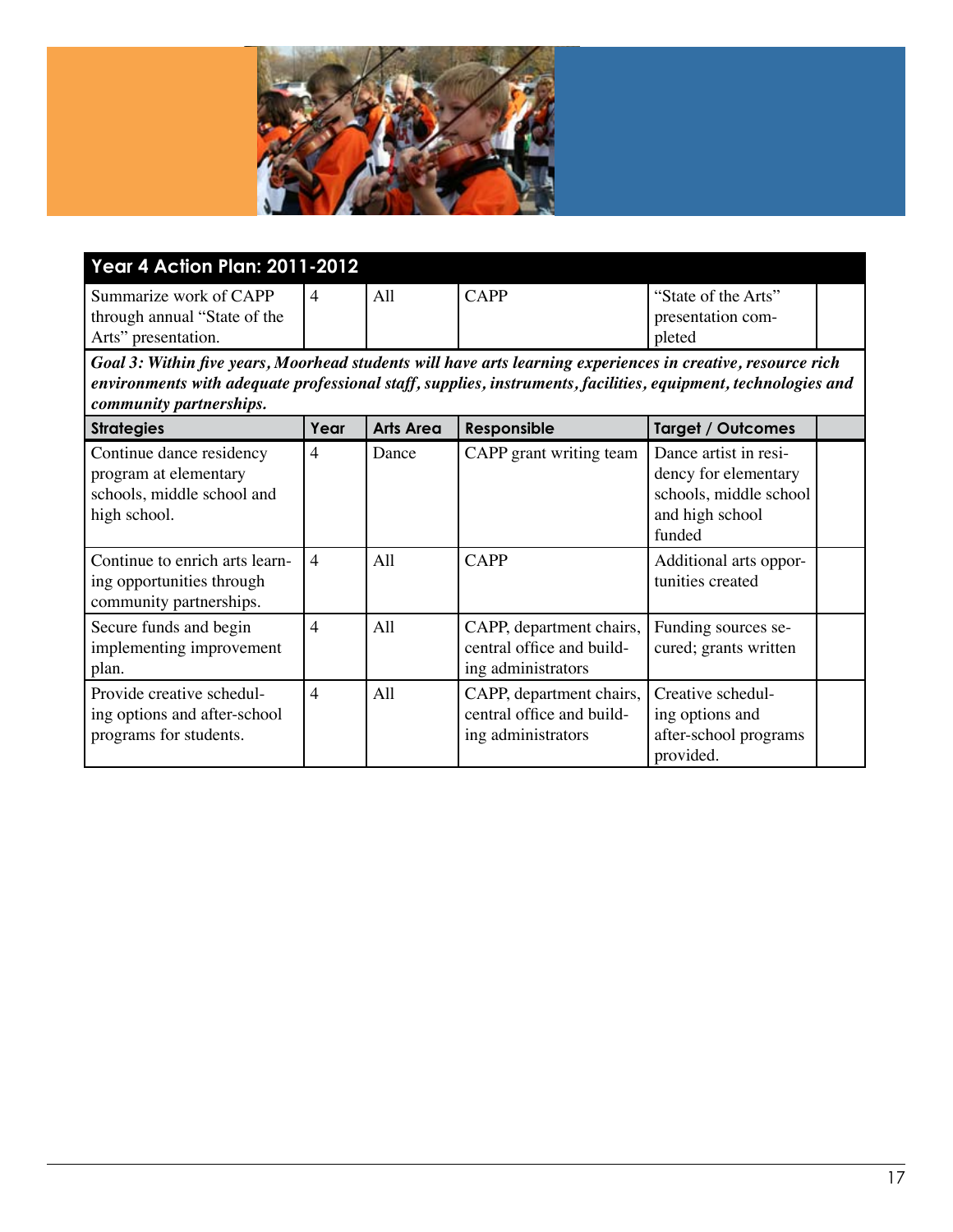

| <b>Year 4 Action Plan: 2011-2012</b>                   |  |     |             |                                          |  |  |
|--------------------------------------------------------|--|-----|-------------|------------------------------------------|--|--|
| Summarize work of CAPP<br>through annual "State of the |  | All | <b>CAPP</b> | "State of the Arts"<br>presentation com- |  |  |
| Arts" presentation.                                    |  |     |             | pleted                                   |  |  |

| <b>Strategies</b>                                                                               | Year           | <b>Arts Area</b> | Responsible                                                                 | <b>Target / Outcomes</b>                                                                             |  |
|-------------------------------------------------------------------------------------------------|----------------|------------------|-----------------------------------------------------------------------------|------------------------------------------------------------------------------------------------------|--|
| Continue dance residency<br>program at elementary<br>schools, middle school and<br>high school. | 4              | Dance            | CAPP grant writing team                                                     | Dance artist in resi-<br>dency for elementary<br>schools, middle school<br>and high school<br>funded |  |
| Continue to enrich arts learn-<br>ing opportunities through<br>community partnerships.          | $\overline{4}$ | A11              | <b>CAPP</b>                                                                 | Additional arts oppor-<br>tunities created                                                           |  |
| Secure funds and begin<br>implementing improvement<br>plan.                                     | $\overline{4}$ | All              | CAPP, department chairs,<br>central office and build-<br>ing administrators | Funding sources se-<br>cured; grants written                                                         |  |
| Provide creative schedul-<br>ing options and after-school<br>programs for students.             | $\overline{4}$ | All              | CAPP, department chairs,<br>central office and build-<br>ing administrators | Creative schedul-<br>ing options and<br>after-school programs<br>provided.                           |  |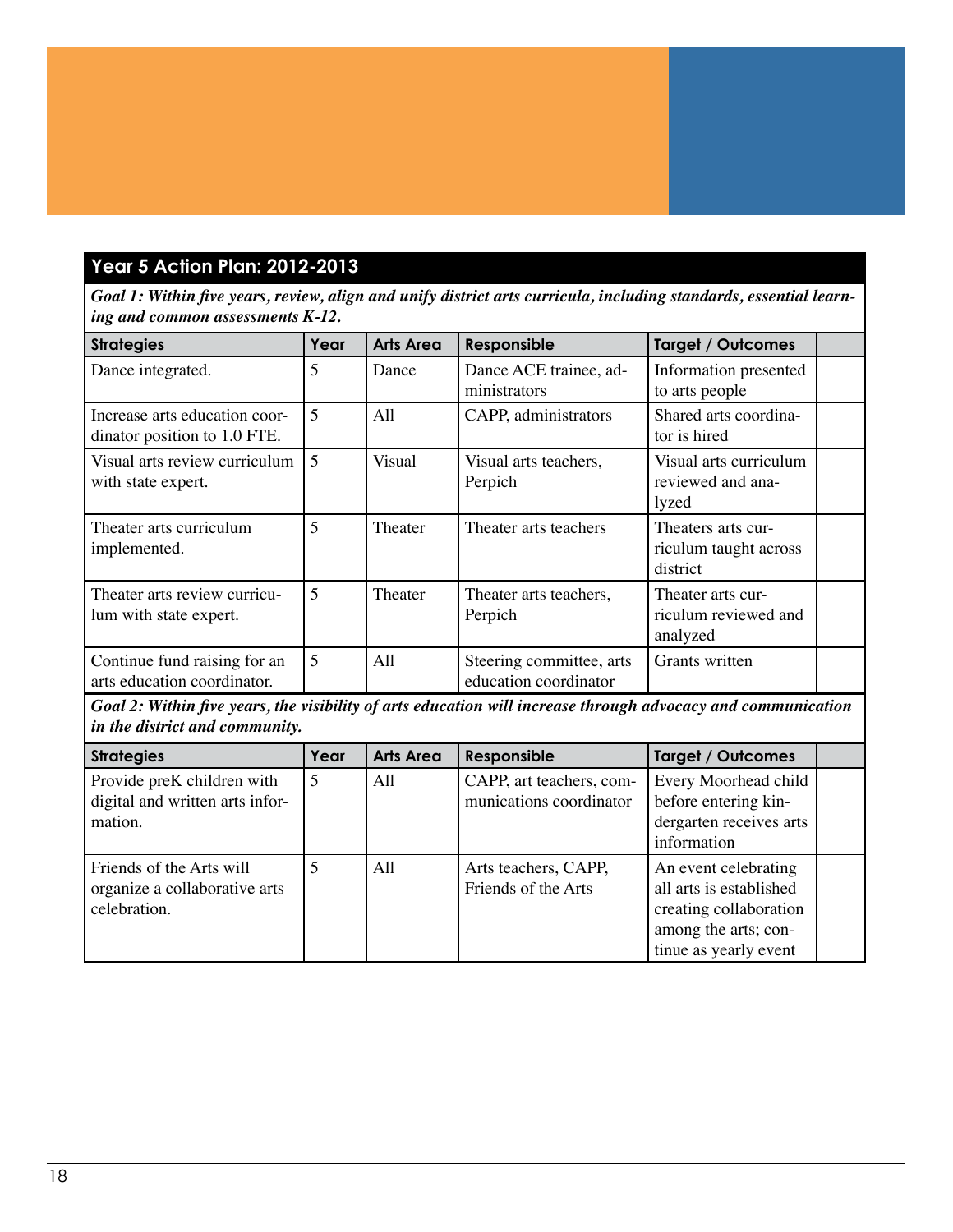### **Year 5 Action Plan: 2012-2013**

*Goal 1: Within five years, review, align and unify district arts curricula, including standards, essential learning and common assessments K-12.*

| <b>Strategies</b>                                             | Year | <b>Arts Area</b> | Responsible                                       | <b>Target / Outcomes</b>                                |  |
|---------------------------------------------------------------|------|------------------|---------------------------------------------------|---------------------------------------------------------|--|
| Dance integrated.                                             | 5    | Dance            | Dance ACE trainee, ad-<br>ministrators            | Information presented<br>to arts people                 |  |
| Increase arts education coor-<br>dinator position to 1.0 FTE. | 5    | A11              | CAPP, administrators                              | Shared arts coordina-<br>tor is hired                   |  |
| Visual arts review curriculum<br>with state expert.           | 5    | <b>Visual</b>    | Visual arts teachers,<br>Perpich                  | Visual arts curriculum<br>reviewed and ana-<br>lyzed    |  |
| Theater arts curriculum<br>implemented.                       | 5    | Theater          | Theater arts teachers                             | Theaters arts cur-<br>riculum taught across<br>district |  |
| Theater arts review curricu-<br>lum with state expert.        | 5    | Theater          | Theater arts teachers,<br>Perpich                 | Theater arts cur-<br>riculum reviewed and<br>analyzed   |  |
| Continue fund raising for an<br>arts education coordinator.   | 5    | A11              | Steering committee, arts<br>education coordinator | Grants written                                          |  |

*Goal 2: Within five years, the visibility of arts education will increase through advocacy and communication in the district and community.*

| <b>Strategies</b>                                                         | Year | <b>Arts Area</b> | Responsible                                         | <b>Target / Outcomes</b>                                                                                                   |  |
|---------------------------------------------------------------------------|------|------------------|-----------------------------------------------------|----------------------------------------------------------------------------------------------------------------------------|--|
| Provide preK children with<br>digital and written arts infor-<br>mation.  | 5    | All              | CAPP, art teachers, com-<br>munications coordinator | Every Moorhead child<br>before entering kin-<br>dergarten receives arts<br>information                                     |  |
| Friends of the Arts will<br>organize a collaborative arts<br>celebration. |      | A11              | Arts teachers, CAPP,<br>Friends of the Arts         | An event celebrating<br>all arts is established<br>creating collaboration<br>among the arts; con-<br>tinue as yearly event |  |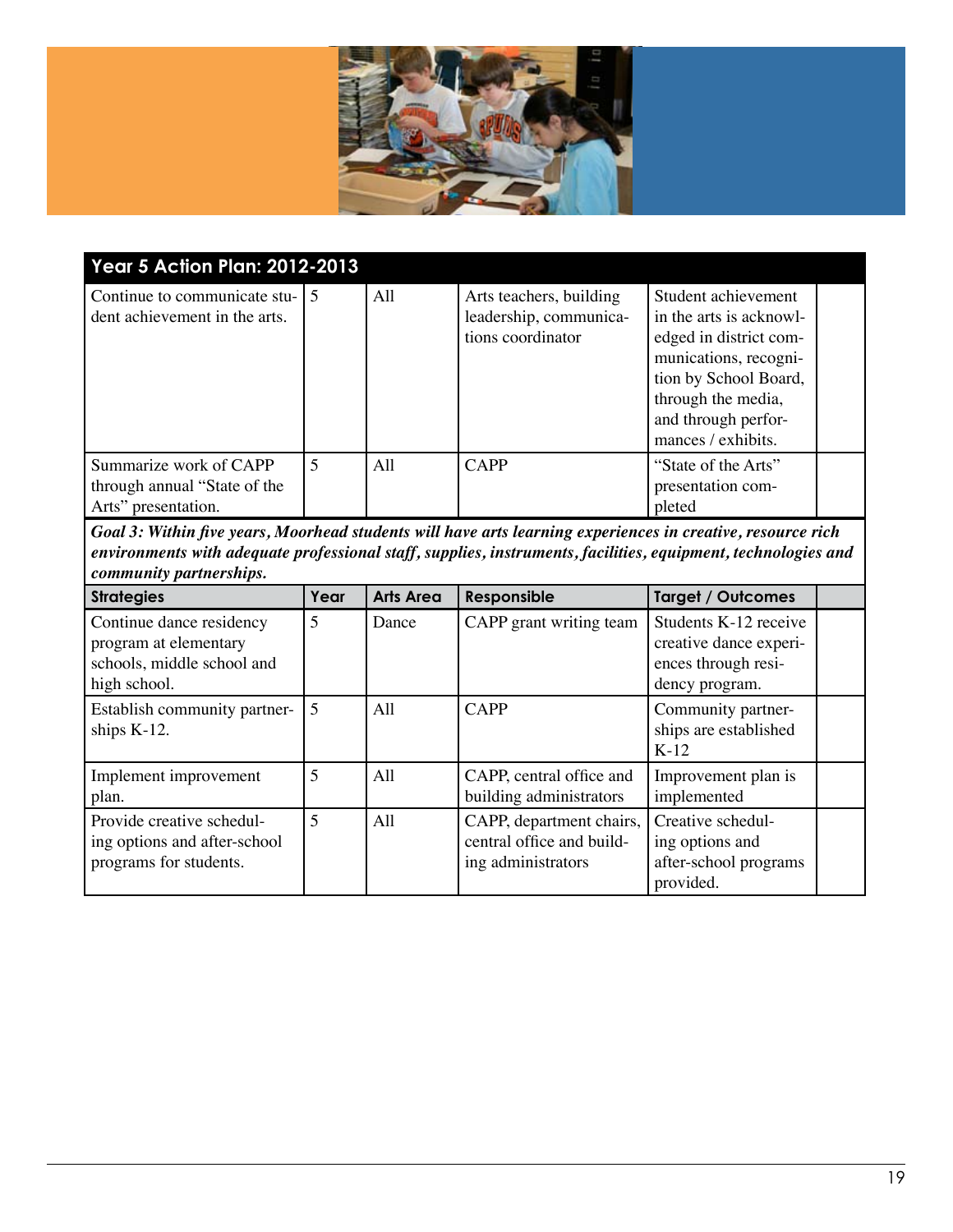

| <b>Year 5 Action Plan: 2012-2013</b>                                            |   |     |                                                                        |                                                                                                                                                                                               |  |
|---------------------------------------------------------------------------------|---|-----|------------------------------------------------------------------------|-----------------------------------------------------------------------------------------------------------------------------------------------------------------------------------------------|--|
| Continue to communicate stu- $\vert 5 \rangle$<br>dent achievement in the arts. |   | All | Arts teachers, building<br>leadership, communica-<br>tions coordinator | Student achievement<br>in the arts is acknowl-<br>edged in district com-<br>munications, recogni-<br>tion by School Board,<br>through the media,<br>and through perfor-<br>mances / exhibits. |  |
| Summarize work of CAPP<br>through annual "State of the<br>Arts" presentation.   | 5 | All | <b>CAPP</b>                                                            | "State of the Arts"<br>presentation com-<br>pleted                                                                                                                                            |  |

| <b>Strategies</b>                                                                               | Year | <b>Arts Area</b> | Responsible                                                                 | <b>Target / Outcomes</b>                                                                 |  |
|-------------------------------------------------------------------------------------------------|------|------------------|-----------------------------------------------------------------------------|------------------------------------------------------------------------------------------|--|
| Continue dance residency<br>program at elementary<br>schools, middle school and<br>high school. | 5    | Dance            | CAPP grant writing team                                                     | Students K-12 receive<br>creative dance experi-<br>ences through resi-<br>dency program. |  |
| Establish community partner-<br>ships K-12.                                                     | 5    | All              | <b>CAPP</b>                                                                 | Community partner-<br>ships are established<br>$K-12$                                    |  |
| Implement improvement<br>plan.                                                                  | 5    | All              | CAPP, central office and<br>building administrators                         | Improvement plan is<br>implemented                                                       |  |
| Provide creative schedul-<br>ing options and after-school<br>programs for students.             | 5    | All              | CAPP, department chairs,<br>central office and build-<br>ing administrators | Creative schedul-<br>ing options and<br>after-school programs<br>provided.               |  |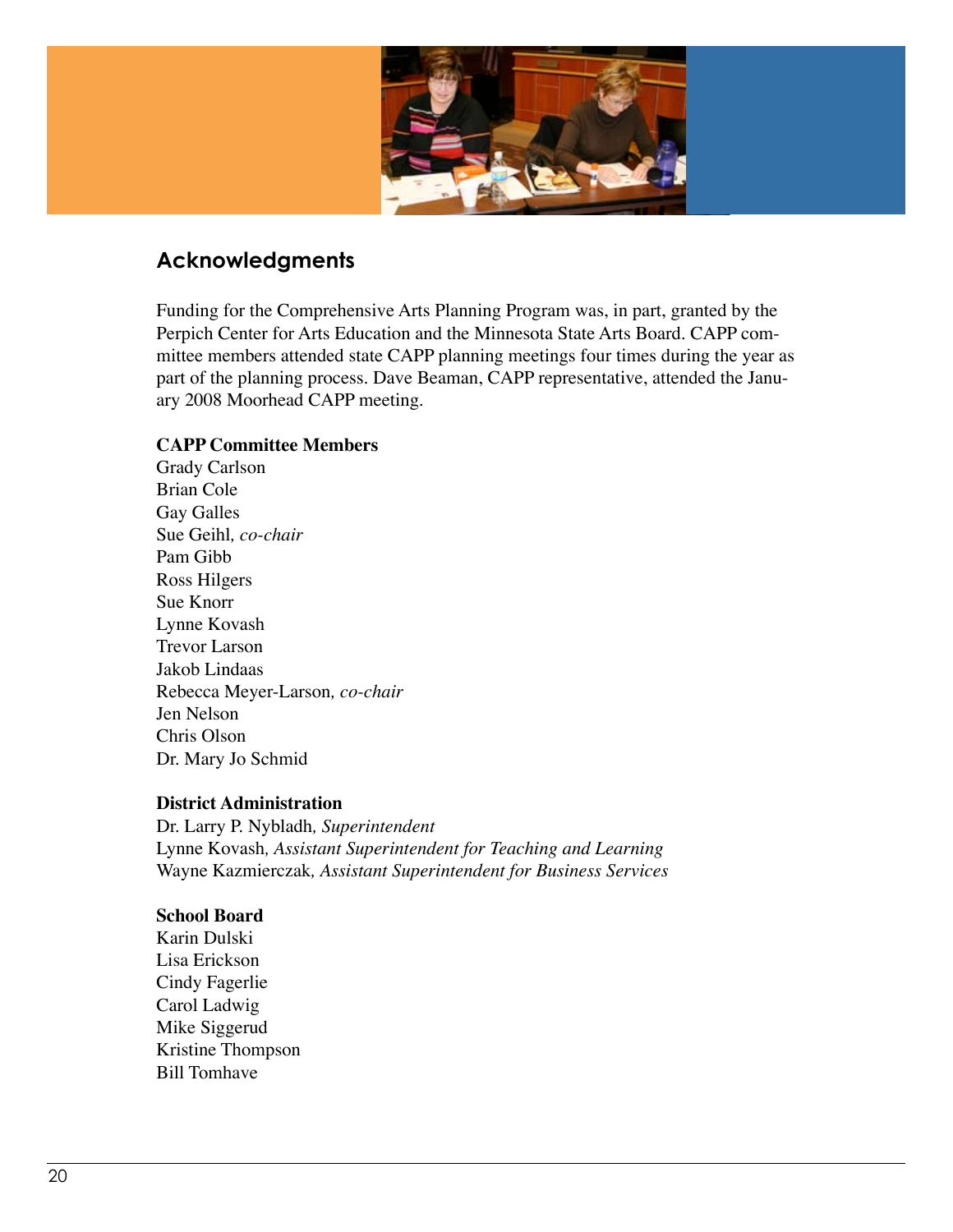

### **Acknowledgments**

Funding for the Comprehensive Arts Planning Program was, in part, granted by the Perpich Center for Arts Education and the Minnesota State Arts Board. CAPP committee members attended state CAPP planning meetings four times during the year as part of the planning process. Dave Beaman, CAPP representative, attended the January 2008 Moorhead CAPP meeting.

#### **CAPP Committee Members**

Grady Carlson Brian Cole Gay Galles Sue Geihl*, co-chair* Pam Gibb Ross Hilgers Sue Knorr Lynne Kovash Trevor Larson Jakob Lindaas Rebecca Meyer-Larson*, co-chair* Jen Nelson Chris Olson Dr. Mary Jo Schmid

#### **District Administration**

Dr. Larry P. Nybladh*, Superintendent* Lynne Kovash*, Assistant Superintendent for Teaching and Learning* Wayne Kazmierczak*, Assistant Superintendent for Business Services*

#### **School Board**

Karin Dulski Lisa Erickson Cindy Fagerlie Carol Ladwig Mike Siggerud Kristine Thompson Bill Tomhave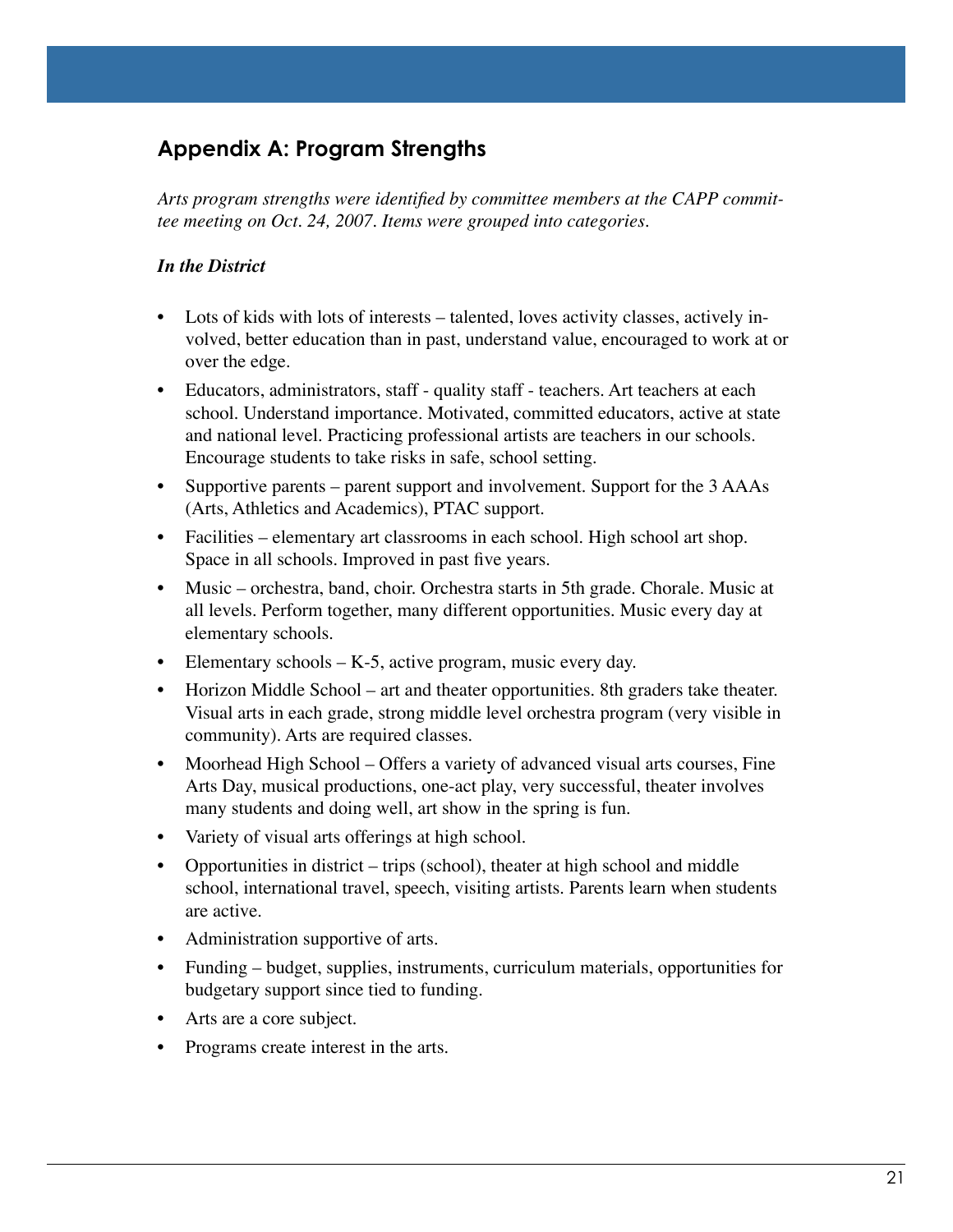## **Appendix A: Program Strengths**

*Arts program strengths were identified by committee members at the CAPP committee meeting on Oct. 24, 2007. Items were grouped into categories.*

### *In the District*

- Lots of kids with lots of interests talented, loves activity classes, actively involved, better education than in past, understand value, encouraged to work at or over the edge.
- Educators, administrators, staff quality staff teachers. Art teachers at each school. Understand importance. Motivated, committed educators, active at state and national level. Practicing professional artists are teachers in our schools. Encourage students to take risks in safe, school setting.
- Supportive parents parent support and involvement. Support for the 3 AAAs (Arts, Athletics and Academics), PTAC support.
- Facilities elementary art classrooms in each school. High school art shop. Space in all schools. Improved in past five years.
- Music orchestra, band, choir. Orchestra starts in 5th grade. Chorale. Music at all levels. Perform together, many different opportunities. Music every day at elementary schools.
- Elementary schools  $-K-5$ , active program, music every day.
- Horizon Middle School art and theater opportunities. 8th graders take theater. Visual arts in each grade, strong middle level orchestra program (very visible in community). Arts are required classes.
- Moorhead High School Offers a variety of advanced visual arts courses, Fine Arts Day, musical productions, one-act play, very successful, theater involves many students and doing well, art show in the spring is fun.
- Variety of visual arts offerings at high school.
- Opportunities in district trips (school), theater at high school and middle school, international travel, speech, visiting artists. Parents learn when students are active.
- Administration supportive of arts.
- Funding budget, supplies, instruments, curriculum materials, opportunities for budgetary support since tied to funding.
- Arts are a core subject.
- Programs create interest in the arts.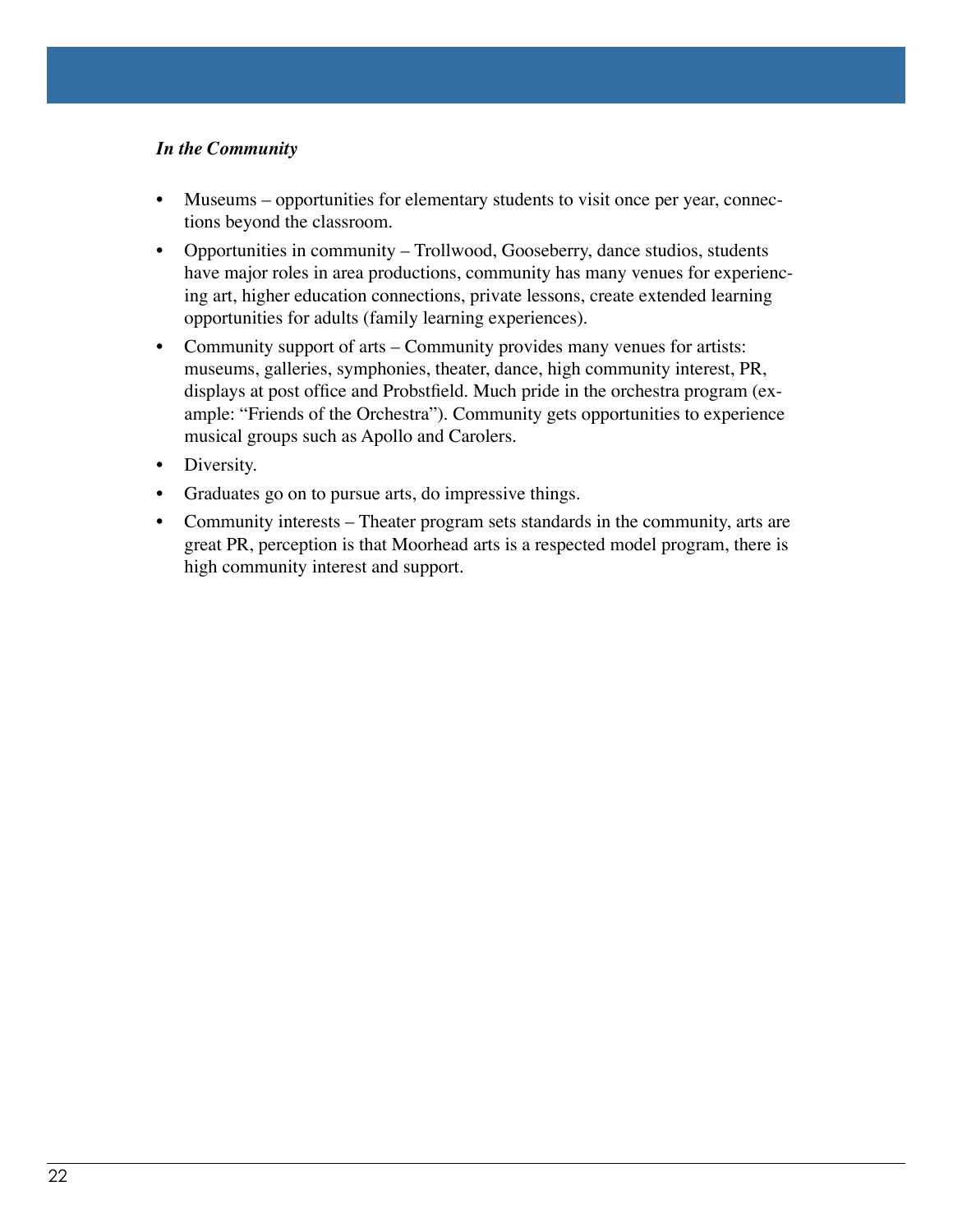#### *In the Community*

- Museums opportunities for elementary students to visit once per year, connections beyond the classroom.
- Opportunities in community Trollwood, Gooseberry, dance studios, students have major roles in area productions, community has many venues for experiencing art, higher education connections, private lessons, create extended learning opportunities for adults (family learning experiences).
- Community support of arts Community provides many venues for artists: museums, galleries, symphonies, theater, dance, high community interest, PR, displays at post office and Probstfield. Much pride in the orchestra program (example: "Friends of the Orchestra"). Community gets opportunities to experience musical groups such as Apollo and Carolers.
- Diversity.
- Graduates go on to pursue arts, do impressive things.
- Community interests Theater program sets standards in the community, arts are great PR, perception is that Moorhead arts is a respected model program, there is high community interest and support.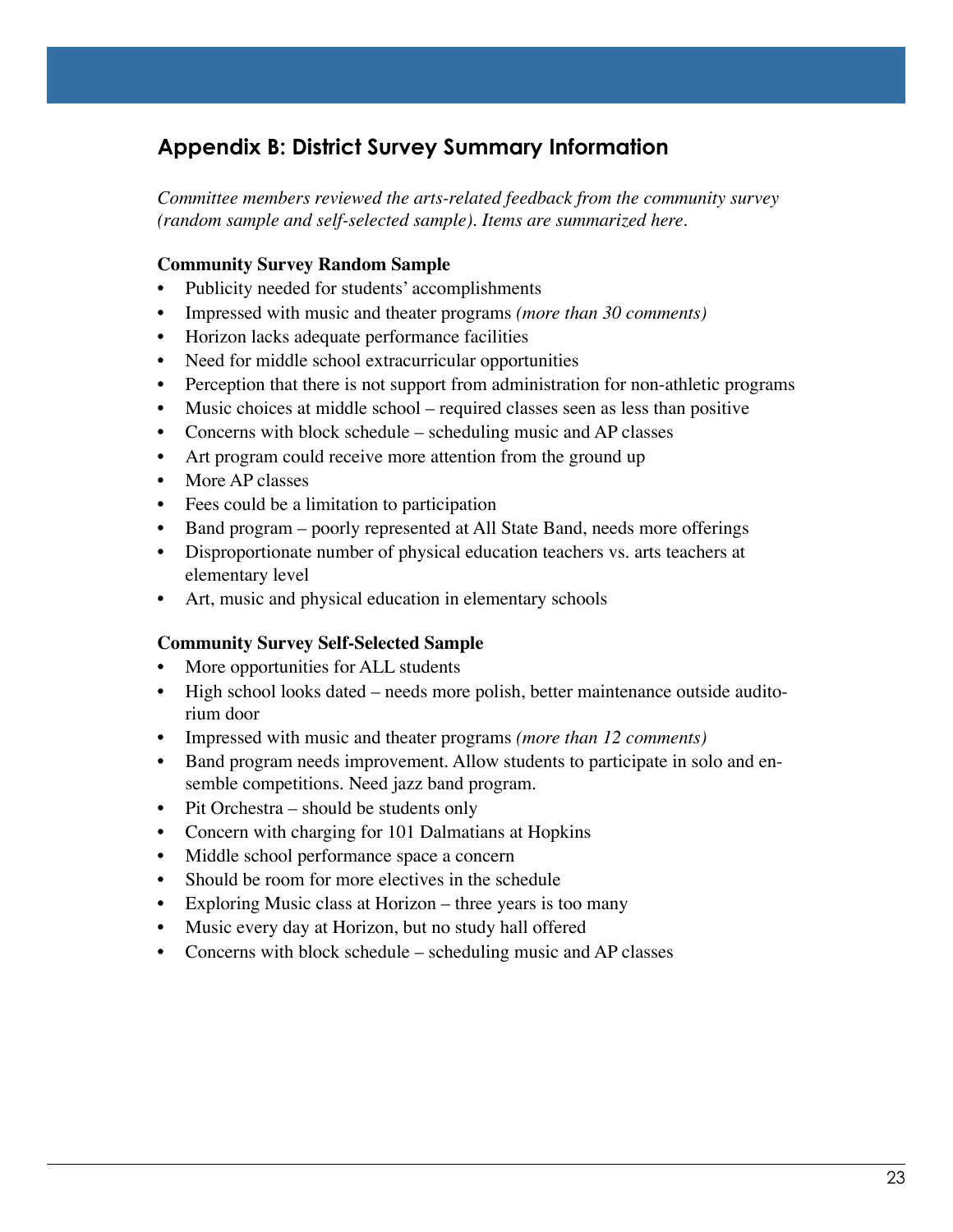## **Appendix B: District Survey Summary Information**

*Committee members reviewed the arts-related feedback from the community survey (random sample and self-selected sample). Items are summarized here.*

### **Community Survey Random Sample**

- Publicity needed for students' accomplishments
- Impressed with music and theater programs *(more than 30 comments)*
- Horizon lacks adequate performance facilities
- Need for middle school extracurricular opportunities
- Perception that there is not support from administration for non-athletic programs
- Music choices at middle school required classes seen as less than positive
- Concerns with block schedule scheduling music and AP classes
- Art program could receive more attention from the ground up
- More AP classes
- Fees could be a limitation to participation
- Band program poorly represented at All State Band, needs more offerings
- Disproportionate number of physical education teachers vs. arts teachers at elementary level
- Art, music and physical education in elementary schools

#### **Community Survey Self-Selected Sample**

- More opportunities for ALL students
- High school looks dated needs more polish, better maintenance outside auditorium door
- Impressed with music and theater programs *(more than 12 comments)*
- Band program needs improvement. Allow students to participate in solo and ensemble competitions. Need jazz band program.
- Pit Orchestra should be students only
- Concern with charging for 101 Dalmatians at Hopkins
- Middle school performance space a concern
- Should be room for more electives in the schedule
- Exploring Music class at Horizon three years is too many
- Music every day at Horizon, but no study hall offered
- Concerns with block schedule scheduling music and AP classes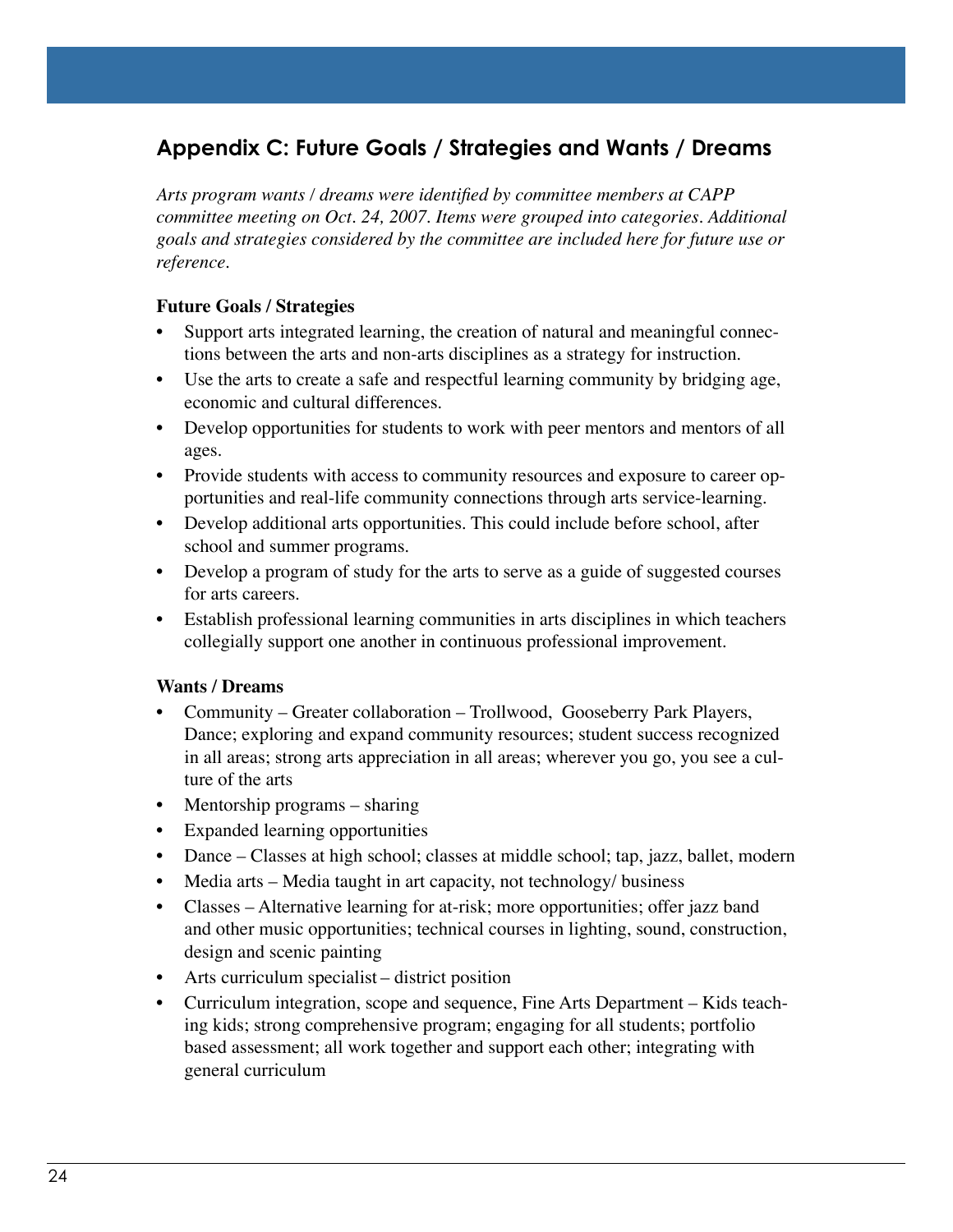## **Appendix C: Future Goals / Strategies and Wants / Dreams**

*Arts program wants / dreams were identified by committee members at CAPP committee meeting on Oct. 24, 2007. Items were grouped into categories. Additional goals and strategies considered by the committee are included here for future use or reference.*

#### **Future Goals / Strategies**

- Support arts integrated learning, the creation of natural and meaningful connections between the arts and non-arts disciplines as a strategy for instruction.
- Use the arts to create a safe and respectful learning community by bridging age, economic and cultural differences.
- Develop opportunities for students to work with peer mentors and mentors of all ages.
- Provide students with access to community resources and exposure to career opportunities and real-life community connections through arts service-learning.
- Develop additional arts opportunities. This could include before school, after school and summer programs.
- Develop a program of study for the arts to serve as a guide of suggested courses for arts careers.
- Establish professional learning communities in arts disciplines in which teachers collegially support one another in continuous professional improvement.

#### **Wants / Dreams**

- Community Greater collaboration Trollwood, Gooseberry Park Players, Dance; exploring and expand community resources; student success recognized in all areas; strong arts appreciation in all areas; wherever you go, you see a culture of the arts
- Mentorship programs sharing
- Expanded learning opportunities
- Dance Classes at high school; classes at middle school; tap, jazz, ballet, modern
- Media arts Media taught in art capacity, not technology/ business
- Classes Alternative learning for at-risk; more opportunities; offer jazz band and other music opportunities; technical courses in lighting, sound, construction, design and scenic painting
- Arts curriculum specialist district position
- Curriculum integration, scope and sequence, Fine Arts Department Kids teaching kids; strong comprehensive program; engaging for all students; portfolio based assessment; all work together and support each other; integrating with general curriculum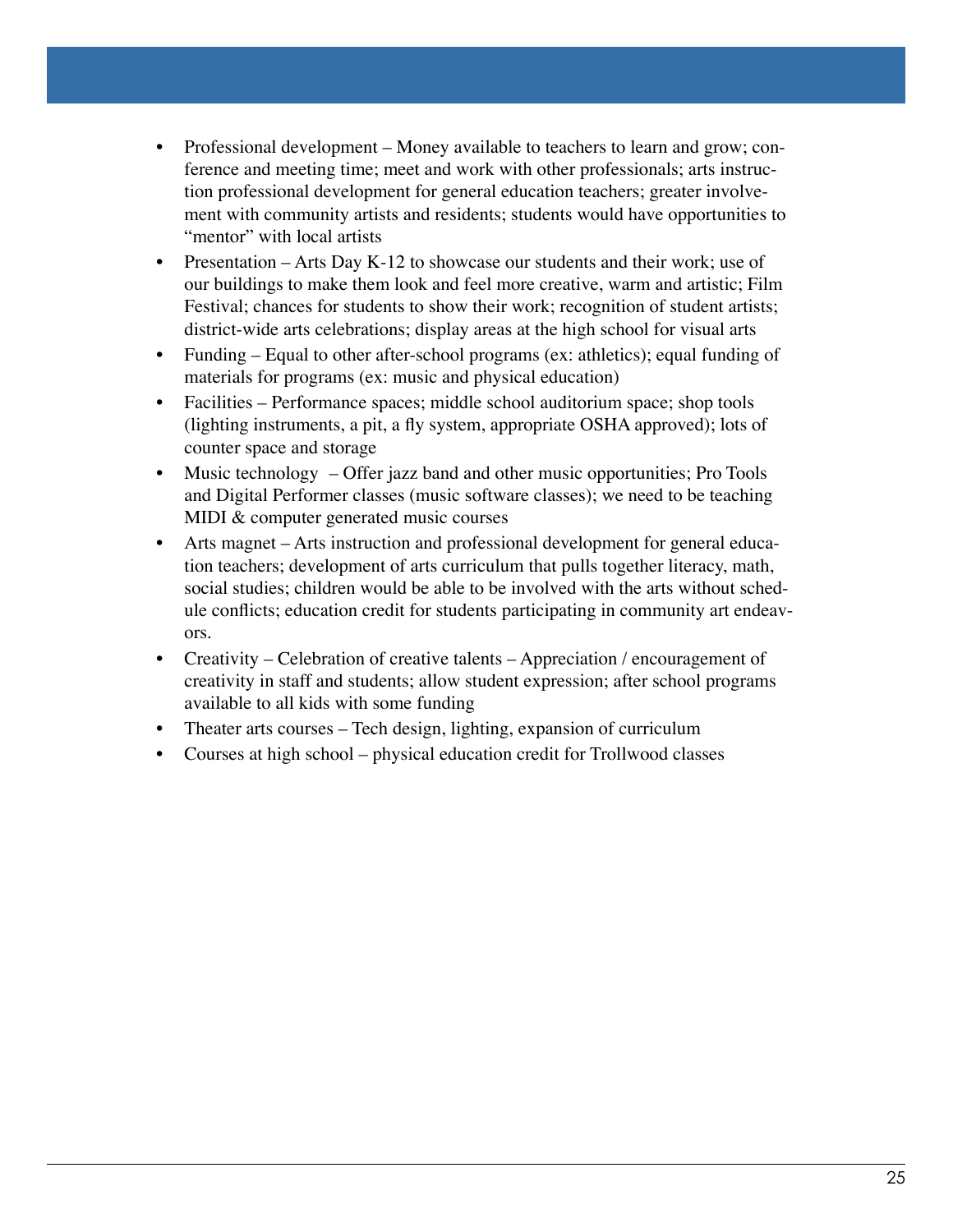- Professional development Money available to teachers to learn and grow; conference and meeting time; meet and work with other professionals; arts instruction professional development for general education teachers; greater involvement with community artists and residents; students would have opportunities to "mentor" with local artists
- Presentation Arts Day K-12 to showcase our students and their work; use of our buildings to make them look and feel more creative, warm and artistic; Film Festival; chances for students to show their work; recognition of student artists; district-wide arts celebrations; display areas at the high school for visual arts
- Funding Equal to other after-school programs (ex: athletics); equal funding of materials for programs (ex: music and physical education)
- Facilities Performance spaces; middle school auditorium space; shop tools (lighting instruments, a pit, a fly system, appropriate OSHA approved); lots of counter space and storage
- Music technology Offer jazz band and other music opportunities; Pro Tools and Digital Performer classes (music software classes); we need to be teaching MIDI & computer generated music courses
- Arts magnet Arts instruction and professional development for general education teachers; development of arts curriculum that pulls together literacy, math, social studies; children would be able to be involved with the arts without schedule conflicts; education credit for students participating in community art endeavors.
- Creativity Celebration of creative talents Appreciation / encouragement of creativity in staff and students; allow student expression; after school programs available to all kids with some funding
- Theater arts courses Tech design, lighting, expansion of curriculum
- Courses at high school physical education credit for Trollwood classes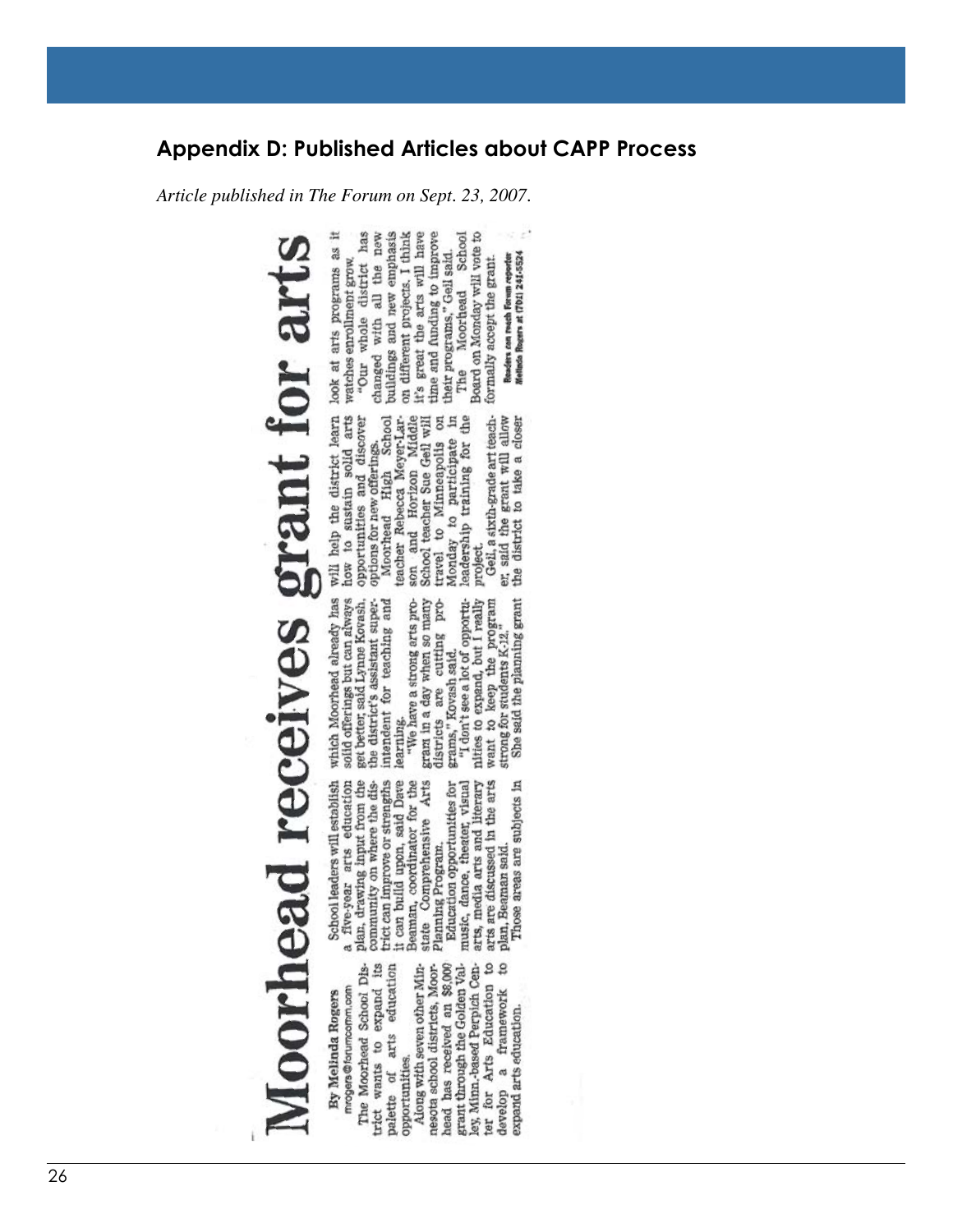### **Appendix D: Published Articles about CAPP Process**

*Article published in The Forum on Sept. 23, 2007.*

will help the district learn look at arts programs as it how to sustain solid arts watches enrollment grow.<br>opportunities and discover "Our whole district has

changed with all the new

Moorhead receives grant for art

mrogers@forumcomm.com By Melinda Rogers

arts education expand its The Moorhead School Diswants to opportunities. palette of trict

ter for Arts Education to<br>develop a framework to head has received an \$8,000 grant through the Golden Valnesota school districts, Moorley, Minn.-based Perpich Cen-Along with seven other Minframework expand arts education

School leaders will establish<br>five-year arts education trict can improve or strengths<br>it can build upon, said Dave plan, drawing input from the Beaman, coordinator for the state Comprehensive Arts community on where the disa

music, dance, theater, visual<br>arts, media arts and literary<br>arts are discussed in the arts Education opportunities for plan, Beaman said.<br>Those areas are subjects in Planning Program.

 $\alpha$  which Moorhead already has  $\alpha$  solid offerings but can always here better, said Lynne Kovash, one district's assistant super-one intendent for teaching and

districts are cutting program in a day when so many

"I don't see a lot of opportunities to expand, but I really<br>want to keep the program<br>strong for students K-12." She said the planning grant grams," Kovash said.

project.

buildings and new emphasis on different projects. I think it's great the arts will have time and funding to improve their programs," Gell said. options for new offerings.<br>Moorhead High School<br>teacher Rebecca Meyer-Lar-<br>son and Horizon Middle travel to Minneapolis on<br>Monday to participate in<br>leadership training for the School teacher Sue Geil will<br>travel to Minneapolis on

Gell, a sixth-grade art teacher. said the grant will allow the district to take a closer

Board on Monday will vote to formally accept the grant. Moorhead The

School

Readers can reach Forum reporter<br>Melinda Rogers at (701) 241-5524

26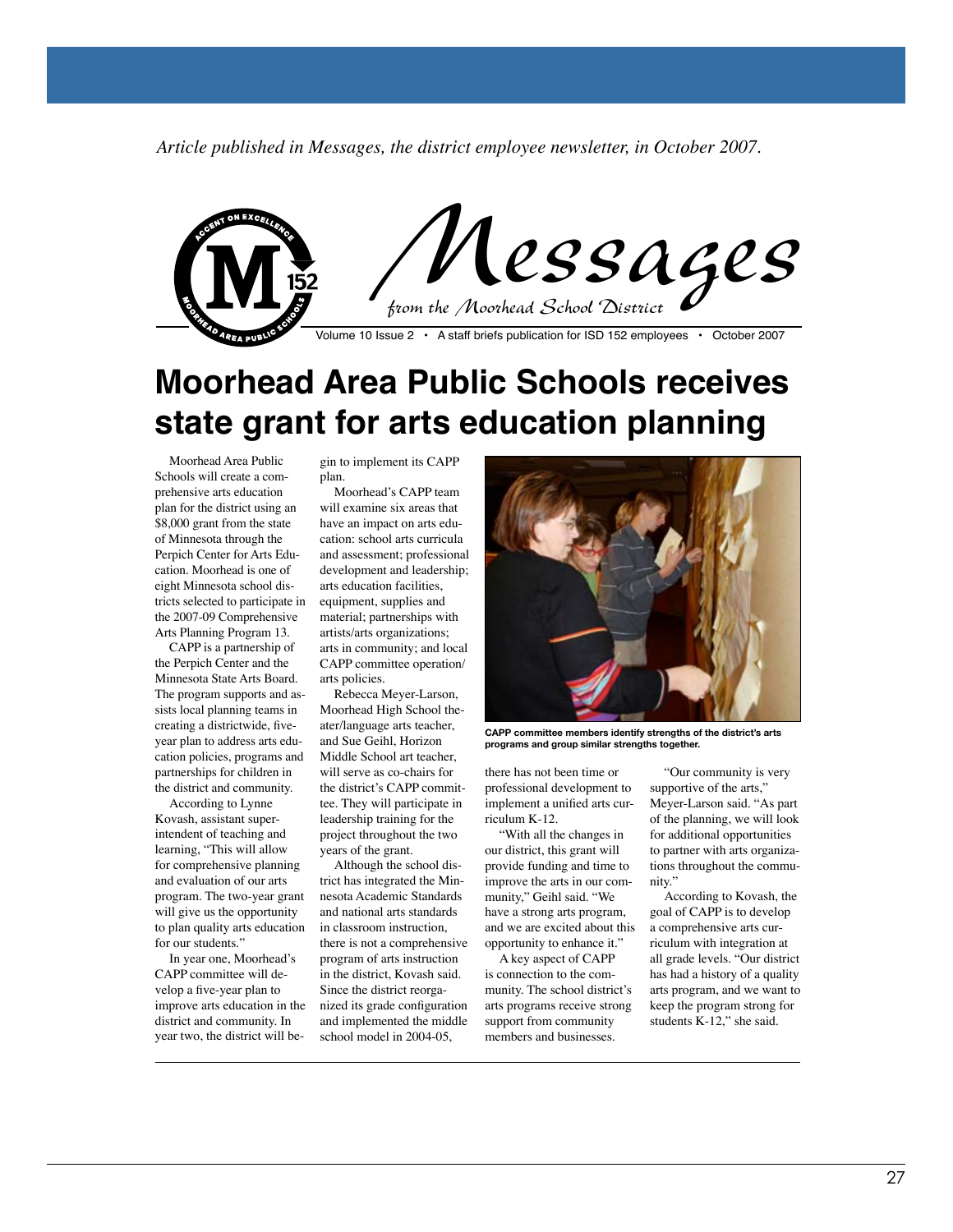*Article published in Messages, the district employee newsletter, in October 2007.*



## **Moorhead Area Public Schools receives state grant for arts education planning**

Moorhead Area Public Schools will create a comprehensive arts education plan for the district using an \$8,000 grant from the state of Minnesota through the Perpich Center for Arts Education. Moorhead is one of eight Minnesota school districts selected to participate in the 2007-09 Comprehensive Arts Planning Program 13.

CAPP is a partnership of the Perpich Center and the Minnesota State Arts Board. The program supports and assists local planning teams in creating a districtwide, fiveyear plan to address arts education policies, programs and partnerships for children in the district and community.

According to Lynne Kovash, assistant superintendent of teaching and learning, "This will allow for comprehensive planning and evaluation of our arts program. The two-year grant will give us the opportunity to plan quality arts education for our students."

In year one, Moorhead's CAPP committee will develop a five-year plan to improve arts education in the district and community. In year two, the district will be-

gin to implement its CAPP plan.

Moorhead's CAPP team will examine six areas that have an impact on arts education: school arts curricula and assessment; professional development and leadership; arts education facilities, equipment, supplies and material; partnerships with artists/arts organizations; arts in community; and local CAPP committee operation/ arts policies.

Rebecca Meyer-Larson, Moorhead High School theater/language arts teacher, and Sue Geihl, Horizon Middle School art teacher, will serve as co-chairs for the district's CAPP committee. They will participate in leadership training for the project throughout the two years of the grant.

Although the school district has integrated the Minnesota Academic Standards and national arts standards in classroom instruction, there is not a comprehensive program of arts instruction in the district, Kovash said. Since the district reorganized its grade configuration and implemented the middle school model in 2004-05,



**CAPP committee members identify strengths of the district's arts programs and group similar strengths together.**

there has not been time or professional development to implement a unified arts curriculum K-12.

"With all the changes in our district, this grant will provide funding and time to improve the arts in our community," Geihl said. "We have a strong arts program, and we are excited about this opportunity to enhance it."

A key aspect of CAPP is connection to the community. The school district's arts programs receive strong support from community members and businesses.

"Our community is very supportive of the arts," Meyer-Larson said. "As part of the planning, we will look for additional opportunities to partner with arts organizations throughout the community."

According to Kovash, the goal of CAPP is to develop a comprehensive arts curriculum with integration at all grade levels. "Our district has had a history of a quality arts program, and we want to keep the program strong for students K-12," she said.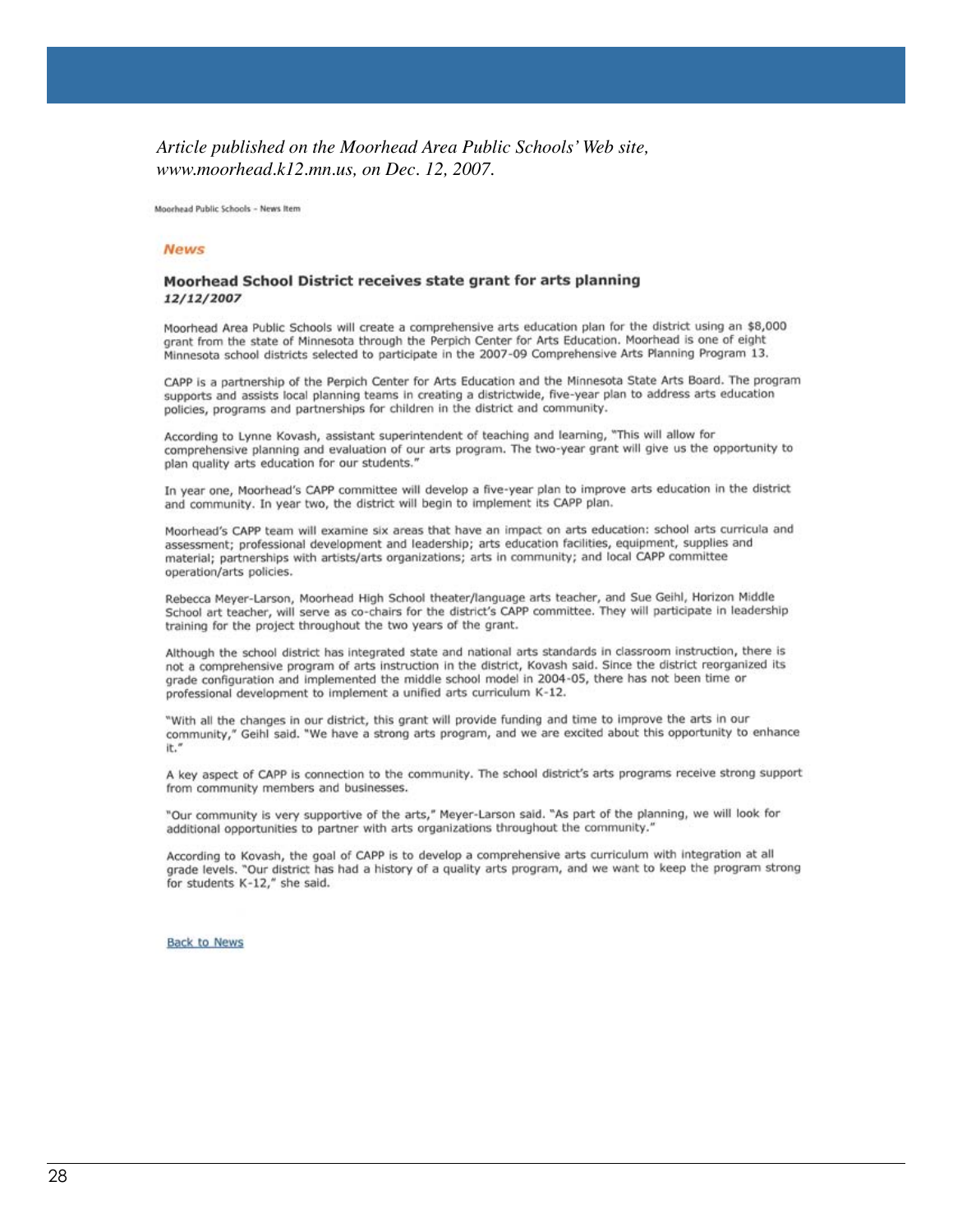#### *Article published on the Moorhead Area Public Schools' Web site, www.moorhead.k12.mn.us, on Dec. 12, 2007.*

Moorhead Public Schools - News Item

#### **News**

#### Moorhead School District receives state grant for arts planning 12/12/2007

Moorhead Area Public Schools will create a comprehensive arts education plan for the district using an \$8,000 grant from the state of Minnesota through the Perpich Center for Arts Education. Moorhead is one of eight Minnesota school districts selected to participate in the 2007-09 Comprehensive Arts Planning Program 13.

CAPP is a partnership of the Perpich Center for Arts Education and the Minnesota State Arts Board. The program supports and assists local planning teams in creating a districtwide, five-year plan to address arts education policies, programs and partnerships for children in the district and community.

According to Lynne Kovash, assistant superintendent of teaching and learning, "This will allow for comprehensive planning and evaluation of our arts program. The two-year grant will give us the opportunity to plan quality arts education for our students."

In year one, Moorhead's CAPP committee will develop a five-year plan to improve arts education in the district and community. In year two, the district will begin to implement its CAPP plan.

Moorhead's CAPP team will examine six areas that have an impact on arts education: school arts curricula and assessment; professional development and leadership; arts education facilities, equipment, supplies and material; partnerships with artists/arts organizations; arts in community; and local CAPP committee operation/arts policies.

Rebecca Meyer-Larson, Moorhead High School theater/language arts teacher, and Sue Geihl, Horizon Middle School art teacher, will serve as co-chairs for the district's CAPP committee. They will participate in leadership training for the project throughout the two years of the grant.

Although the school district has integrated state and national arts standards in classroom instruction, there is not a comprehensive program of arts instruction in the district, Kovash said. Since the district reorganized its grade configuration and implemented the middle school model in 2004-05, there has not been time or professional development to implement a unified arts curriculum K-12.

"With all the changes in our district, this grant will provide funding and time to improve the arts in our community," Geihl said. "We have a strong arts program, and we are excited about this opportunity to enhance it.

A key aspect of CAPP is connection to the community. The school district's arts programs receive strong support from community members and businesses.

"Our community is very supportive of the arts," Meyer-Larson said. "As part of the planning, we will look for additional opportunities to partner with arts organizations throughout the community.'

According to Kovash, the goal of CAPP is to develop a comprehensive arts curriculum with integration at all grade levels. "Our district has had a history of a quality arts program, and we want to keep the program strong for students K-12," she said.

**Back to News**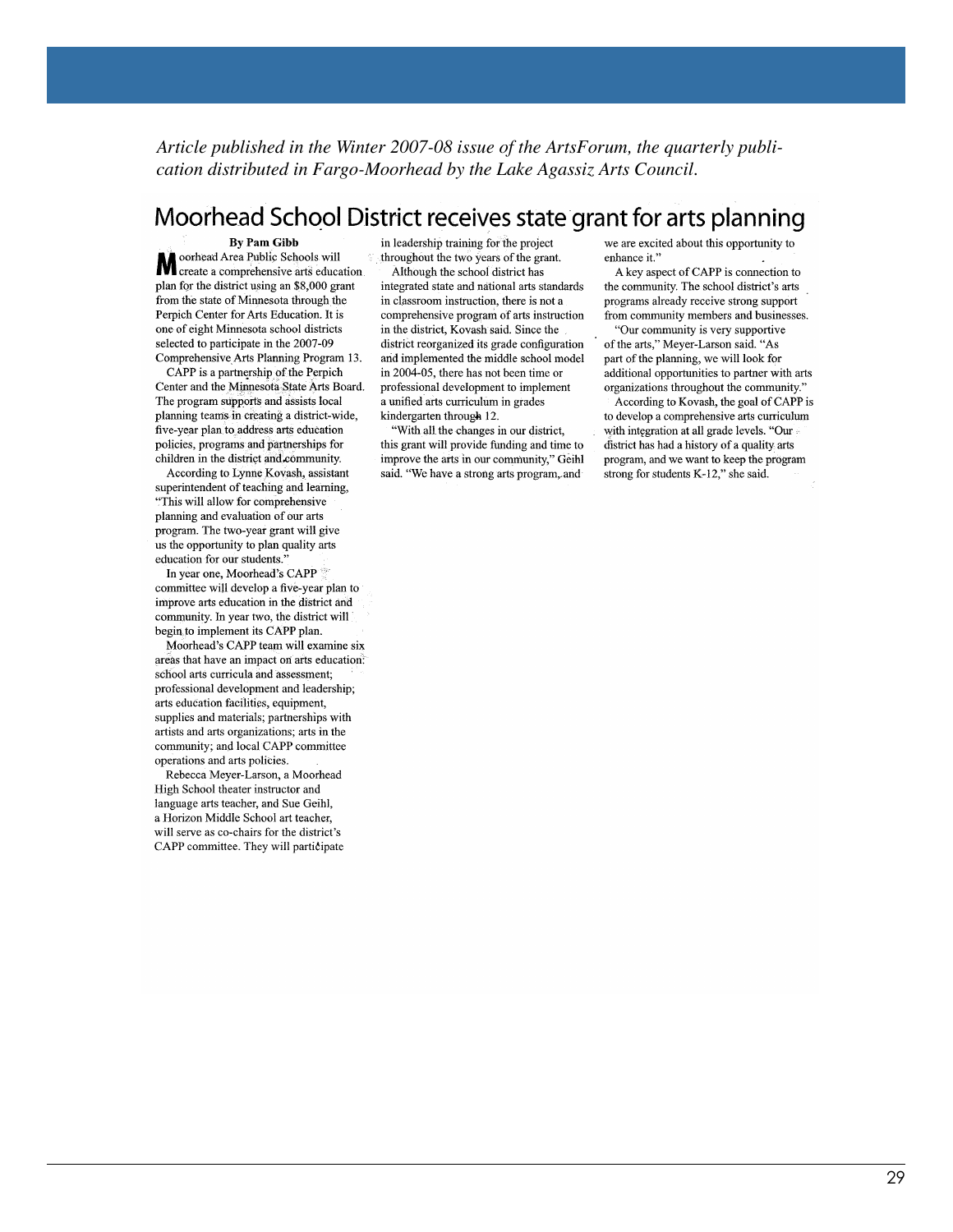*Article published in the Winter 2007-08 issue of the ArtsForum, the quarterly publication distributed in Fargo-Moorhead by the Lake Agassiz Arts Council.*

### Moorhead School District receives state grant for arts planning

**By Pam Gibb** oorhead Area Public Schools will Moorhead Area Public Schools will<br>create a comprehensive arts education<br>plan for the district using an \$8,000 creat plan for the district using an \$8,000 grant from the state of Minnesota through the Perpich Center for Arts Education. It is one of eight Minnesota school districts selected to participate in the 2007-09 Comprehensive Arts Planning Program 13.

CAPP is a partnership of the Perpich Center and the Minnesota State Arts Board. The program supports and assists local planning teams in creating a district-wide, five-year plan to address arts education policies, programs and partnerships for children in the district and community.

According to Lynne Kovash, assistant superintendent of teaching and learning, "This will allow for comprehensive planning and evaluation of our arts program. The two-year grant will give us the opportunity to plan quality arts education for our students.

In year one, Moorhead's CAPP committee will develop a five-year plan to improve arts education in the district and community. In year two, the district will begin to implement its CAPP plan.

Moorhead's CAPP team will examine six areas that have an impact on arts education. school arts curricula and assessment; professional development and leadership; arts education facilities, equipment, supplies and materials; partnerships with artists and arts organizations; arts in the community; and local CAPP committee operations and arts policies.

Rebecca Meyer-Larson, a Moorhead High School theater instructor and language arts teacher, and Sue Geihl, a Horizon Middle School art teacher, will serve as co-chairs for the district's CAPP committee. They will participate in leadership training for the project throughout the two years of the grant. Although the school district has

integrated state and national arts standards in classroom instruction, there is not a comprehensive program of arts instruction in the district, Kovash said. Since the district reorganized its grade configuration and implemented the middle school model in 2004-05, there has not been time or professional development to implement a unified arts curriculum in grades kindergarten through 12.

"With all the changes in our district, this grant will provide funding and time to improve the arts in our community," Geihl said. "We have a strong arts program, and

we are excited about this opportunity to enhance it."

A key aspect of CAPP is connection to the community. The school district's arts programs already receive strong support from community members and businesses.

"Our community is very supportive of the arts," Meyer-Larson said. "As part of the planning, we will look for additional opportunities to partner with arts organizations throughout the community."

According to Kovash, the goal of CAPP is to develop a comprehensive arts curriculum with integration at all grade levels. "Our district has had a history of a quality arts program, and we want to keep the program strong for students K-12," she said.